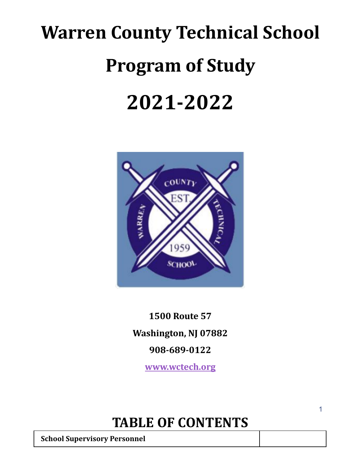# **Warren County Technical School Program of Study 2021-2022**



**1500 Route 57 Washington, NJ 07882 908-689-0122**

**www.wctech.org**

## **TABLE OF CONTENTS**

**School Supervisory Personnel**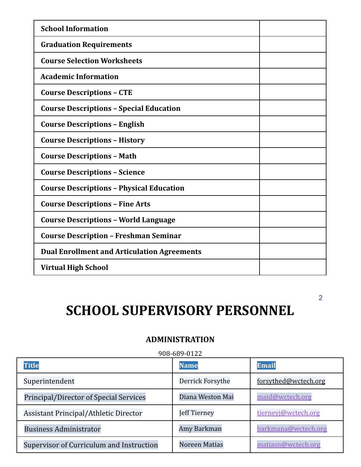| <b>School Information</b>                          |  |
|----------------------------------------------------|--|
| <b>Graduation Requirements</b>                     |  |
| <b>Course Selection Worksheets</b>                 |  |
| <b>Academic Information</b>                        |  |
| <b>Course Descriptions - CTE</b>                   |  |
| <b>Course Descriptions - Special Education</b>     |  |
| <b>Course Descriptions - English</b>               |  |
| <b>Course Descriptions - History</b>               |  |
| <b>Course Descriptions - Math</b>                  |  |
| <b>Course Descriptions - Science</b>               |  |
| <b>Course Descriptions - Physical Education</b>    |  |
| <b>Course Descriptions - Fine Arts</b>             |  |
| <b>Course Descriptions - World Language</b>        |  |
| <b>Course Description - Freshman Seminar</b>       |  |
| <b>Dual Enrollment and Articulation Agreements</b> |  |
| <b>Virtual High School</b>                         |  |

## **SCHOOL SUPERVISORY PERSONNEL**

2

### **ADMINISTRATION**

908-689-0122

| <b>Title</b>                                  | <b>Name</b>      | <b>Email</b>         |
|-----------------------------------------------|------------------|----------------------|
| Superintendent                                | Derrick Forsythe | forsythed@wctech.org |
| <b>Principal/Director of Special Services</b> | Diana Weston Mai | maid@wctech.org      |
| Assistant Principal/Athletic Director         | Jeff Tierney     | tierneyj@wctech.org  |
| <b>Business Administrator</b>                 | Amy Barkman      | barkmana@wctech.org  |
| Supervisor of Curriculum and Instruction      | Noreen Matias    | matiasn@wctech.org   |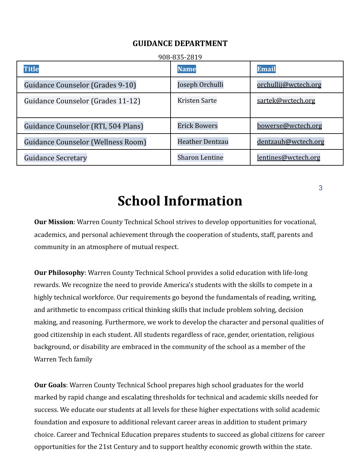#### **GUIDANCE DEPARTMENT**

| 908-835-2819                        |                        |                      |  |  |
|-------------------------------------|------------------------|----------------------|--|--|
| <b>Title</b>                        | <b>Name</b>            | <b>Email</b>         |  |  |
| Guidance Counselor (Grades 9-10)    | Joseph Orchulli        | orchullij@wctech.org |  |  |
| Guidance Counselor (Grades 11-12)   | Kristen Sarte          | sartek@wctech.org    |  |  |
| Guidance Counselor (RTI, 504 Plans) | <b>Erick Bowers</b>    | bowerse@wctech.org   |  |  |
| Guidance Counselor (Wellness Room)  | <b>Heather Dentzau</b> | dentzauh@wctech.org  |  |  |
| <b>Guidance Secretary</b>           | <b>Sharon Lentine</b>  | lentines@wctech.org  |  |  |

**School Information**

**Our Mission**: Warren County Technical School strives to develop opportunities for vocational, academics, and personal achievement through the cooperation of students, staff, parents and community in an atmosphere of mutual respect.

**Our Philosophy**: Warren County Technical School provides a solid education with life-long rewards. We recognize the need to provide America's students with the skills to compete in a highly technical workforce. Our requirements go beyond the fundamentals of reading, writing, and arithmetic to encompass critical thinking skills that include problem solving, decision making, and reasoning. Furthermore, we work to develop the character and personal qualities of good citizenship in each student. All students regardless of race, gender, orientation, religious background, or disability are embraced in the community of the school as a member of the Warren Tech family

**Our Goals**: Warren County Technical School prepares high school graduates for the world marked by rapid change and escalating thresholds for technical and academic skills needed for success. We educate our students at all levels for these higher expectations with solid academic foundation and exposure to additional relevant career areas in addition to student primary choice. Career and Technical Education prepares students to succeed as global citizens for career opportunities for the 21st Century and to support healthy economic growth within the state.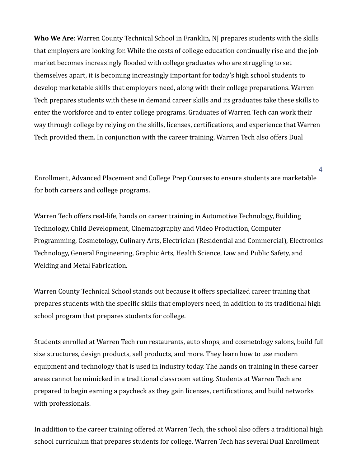**Who We Are**: Warren County Technical School in Franklin, NJ prepares students with the skills that employers are looking for. While the costs of college education continually rise and the job market becomes increasingly flooded with college graduates who are struggling to set themselves apart, it is becoming increasingly important for today's high school students to develop marketable skills that employers need, along with their college preparations. Warren Tech prepares students with these in demand career skills and its graduates take these skills to enter the workforce and to enter college programs. Graduates of Warren Tech can work their way through college by relying on the skills, licenses, certifications, and experience that Warren Tech provided them. In conjunction with the career training, Warren Tech also offers Dual

Enrollment, Advanced Placement and College Prep Courses to ensure students are marketable for both careers and college programs.

4

Warren Tech offers real-life, hands on career training in Automotive Technology, Building Technology, Child Development, Cinematography and Video Production, Computer Programming, Cosmetology, Culinary Arts, Electrician (Residential and Commercial), Electronics Technology, General Engineering, Graphic Arts, Health Science, Law and Public Safety, and Welding and Metal Fabrication.

Warren County Technical School stands out because it offers specialized career training that prepares students with the specific skills that employers need, in addition to its traditional high school program that prepares students for college.

Students enrolled at Warren Tech run restaurants, auto shops, and cosmetology salons, build full size structures, design products, sell products, and more. They learn how to use modern equipment and technology that is used in industry today. The hands on training in these career areas cannot be mimicked in a traditional classroom setting. Students at Warren Tech are prepared to begin earning a paycheck as they gain licenses, certifications, and build networks with professionals.

In addition to the career training offered at Warren Tech, the school also offers a traditional high school curriculum that prepares students for college. Warren Tech has several Dual Enrollment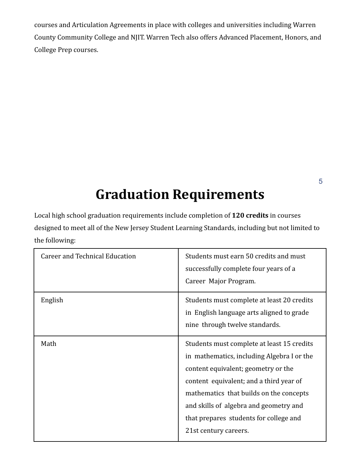courses and Articulation Agreements in place with colleges and universities including Warren County Community College and NJIT. Warren Tech also offers Advanced Placement, Honors, and College Prep courses.

## **Graduation Requirements**

Local high school graduation requirements include completion of **120 credits** in courses designed to meet all of the New Jersey Student Learning Standards, including but not limited to the following:

| <b>Career and Technical Education</b> | Students must earn 50 credits and must<br>successfully complete four years of a<br>Career Major Program.                                                                                                                                                                                                                           |
|---------------------------------------|------------------------------------------------------------------------------------------------------------------------------------------------------------------------------------------------------------------------------------------------------------------------------------------------------------------------------------|
| English                               | Students must complete at least 20 credits<br>in English language arts aligned to grade<br>nine through twelve standards.                                                                                                                                                                                                          |
| Math                                  | Students must complete at least 15 credits<br>in mathematics, including Algebra I or the<br>content equivalent; geometry or the<br>content equivalent; and a third year of<br>mathematics that builds on the concepts<br>and skills of algebra and geometry and<br>that prepares students for college and<br>21st century careers. |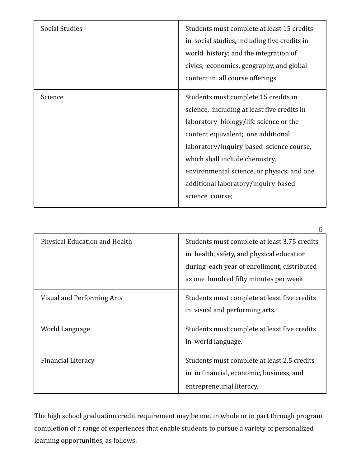| <b>Social Studies</b> | Students must complete at least 15 credits<br>in social studies, including five credits in<br>world history; and the integration of<br>civics, economics, geography, and global<br>content in all course offerings                                                                                                                                        |
|-----------------------|-----------------------------------------------------------------------------------------------------------------------------------------------------------------------------------------------------------------------------------------------------------------------------------------------------------------------------------------------------------|
| Science               | Students must complete 15 credits in<br>science, including at least five credits in<br>laboratory biology/life science or the<br>content equivalent; one additional<br>laboratory/inquiry-based science course,<br>which shall include chemistry,<br>environmental science, or physics; and one<br>additional laboratory/inquiry-based<br>science course; |

|                               | n                                                                                                                                                                                 |
|-------------------------------|-----------------------------------------------------------------------------------------------------------------------------------------------------------------------------------|
| Physical Education and Health | Students must complete at least 3.75 credits<br>in health, safety, and physical education<br>during each year of enrollment, distributed<br>as one hundred fifty minutes per week |
| Visual and Performing Arts    | Students must complete at least five credits<br>in visual and performing arts.                                                                                                    |
| World Language                | Students must complete at least five credits<br>in world language.                                                                                                                |
| <b>Financial Literacy</b>     | Students must complete at least 2.5 credits<br>in in financial, economic, business, and<br>entrepreneurial literacy.                                                              |

The high school graduation credit requirement may be met in whole or in part through program completion of a range of experiences that enable students to pursue a variety of personalized learning opportunities, as follows: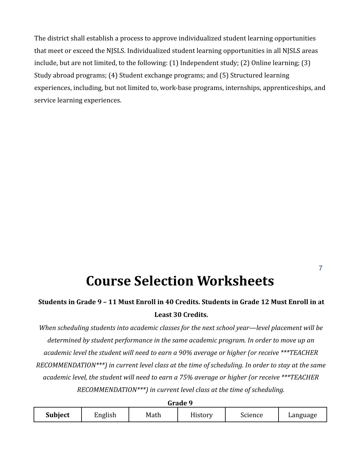The district shall establish a process to approve individualized student learning opportunities that meet or exceed the NJSLS. Individualized student learning opportunities in all NJSLS areas include, but are not limited, to the following: (1) Independent study; (2) Online learning; (3) Study abroad programs; (4) Student exchange programs; and (5) Structured learning experiences, including, but not limited to, work-base programs, internships, apprenticeships, and service learning experiences.

## **Course Selection Worksheets**

### **Students in Grade 9 – 11 Must Enroll in 40 Credits. Students in Grade 12 Must Enroll in at Least 30 Credits.**

*When scheduling students into academic classes for the next school year—level placement will be determined by student performance in the same academic program. In order to move up an academic level the student will need to earn a 90% average or higher (or receive \*\*\*TEACHER RECOMMENDATION\*\*\*) in current level class at the time of scheduling. In order to stay at the same academic level, the student will need to earn a 75% average or higher (or receive \*\*\*TEACHER RECOMMENDATION\*\*\*) in current level class at the time of scheduling.*

| uldue 9        |         |      |                              |         |          |
|----------------|---------|------|------------------------------|---------|----------|
| <b>Subject</b> | English | Math | <b>TT.</b><br><b>History</b> | Science | Language |

**Grade 9**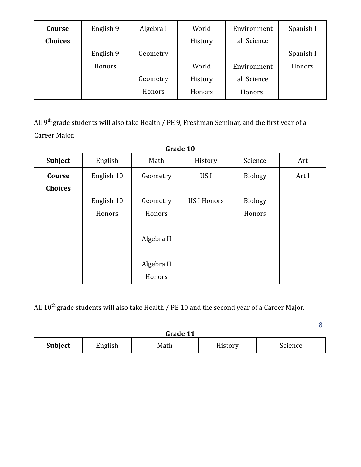| Course         | English 9 | Algebra I | World   | Environment | Spanish I |
|----------------|-----------|-----------|---------|-------------|-----------|
| <b>Choices</b> |           |           | History | al Science  |           |
|                | English 9 | Geometry  |         |             | Spanish I |
|                | Honors    |           | World   | Environment | Honors    |
|                |           | Geometry  | History | al Science  |           |
|                |           | Honors    | Honors  | Honors      |           |

All 9<sup>th</sup> grade students will also take Health / PE 9, Freshman Seminar, and the first year of a Career Major.

| Grade 10       |            |            |                    |                |       |
|----------------|------------|------------|--------------------|----------------|-------|
| <b>Subject</b> | English    | Math       | History            | Science        | Art   |
| Course         | English 10 | Geometry   | US I               | <b>Biology</b> | Art I |
| <b>Choices</b> |            |            |                    |                |       |
|                | English 10 | Geometry   | <b>US I Honors</b> | <b>Biology</b> |       |
|                | Honors     | Honors     |                    | Honors         |       |
|                |            | Algebra II |                    |                |       |
|                |            | Algebra II |                    |                |       |
|                |            | Honors     |                    |                |       |

All  $10^{\text{th}}$  grade students will also take Health / PE 10 and the second year of a Career Major.

| Grade 11       |                                       |  |  |  |  |
|----------------|---------------------------------------|--|--|--|--|
| <b>Subject</b> | English<br>History<br>Science<br>Math |  |  |  |  |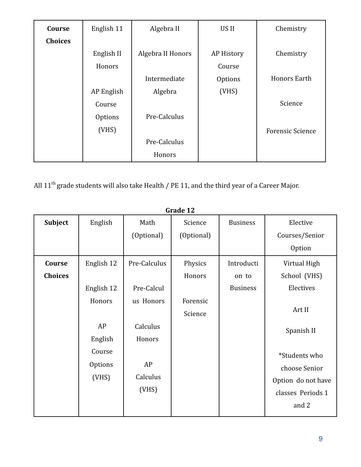| Course         | English 11     | Algebra II        | US II      | Chemistry               |
|----------------|----------------|-------------------|------------|-------------------------|
| <b>Choices</b> |                |                   |            |                         |
|                | English II     | Algebra II Honors | AP History | Chemistry               |
|                | Honors         |                   | Course     |                         |
|                |                | Intermediate      | Options    | <b>Honors Earth</b>     |
|                | AP English     | Algebra           | (VHS)      |                         |
|                | Course         |                   |            | Science                 |
|                | <b>Options</b> | Pre-Calculus      |            |                         |
|                | (VHS)          |                   |            | <b>Forensic Science</b> |
|                |                | Pre-Calculus      |            |                         |
|                |                | Honors            |            |                         |

All  $11^{\text{th}}$  grade students will also take Health / PE 11, and the third year of a Career Major.

|                |                |              | Graue 12   |                 |                    |
|----------------|----------------|--------------|------------|-----------------|--------------------|
| <b>Subject</b> | English        | Math         | Science    | <b>Business</b> | Elective           |
|                |                | (Optional)   | (Optional) |                 | Courses/Senior     |
|                |                |              |            |                 | Option             |
| Course         | English 12     | Pre-Calculus | Physics    | Introducti      | Virtual High       |
| <b>Choices</b> |                |              | Honors     | on to           | School (VHS)       |
|                | English 12     | Pre-Calcul   |            | <b>Business</b> | Electives          |
|                | Honors         | us Honors    | Forensic   |                 |                    |
|                |                |              | Science    |                 | Art II             |
|                | AP             | Calculus     |            |                 | Spanish II         |
|                | English        | Honors       |            |                 |                    |
|                | Course         |              |            |                 | *Students who      |
|                | <b>Options</b> | AP           |            |                 | choose Senior      |
|                | (VHS)          | Calculus     |            |                 | Option do not have |
|                |                | (VHS)        |            |                 | classes Periods 1  |
|                |                |              |            |                 | and 2              |
|                |                |              |            |                 |                    |

**Grade 12**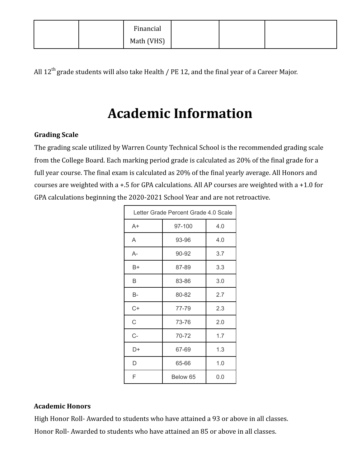| Financial  |  |  |
|------------|--|--|
| Math (VHS) |  |  |

All 12<sup>th</sup> grade students will also take Health / PE 12, and the final year of a Career Major.

## **Academic Information**

#### **Grading Scale**

The grading scale utilized by Warren County Technical School is the recommended grading scale from the College Board. Each marking period grade is calculated as 20% of the final grade for a full year course. The final exam is calculated as 20% of the final yearly average. All Honors and courses are weighted with a +.5 for GPA calculations. All AP courses are weighted with a +1.0 for GPA calculations beginning the 2020-2021 School Year and are not retroactive.

| Letter Grade Percent Grade 4.0 Scale |              |     |  |
|--------------------------------------|--------------|-----|--|
| $A+$                                 | 97-100       | 4.0 |  |
| A                                    | 93-96        | 4.0 |  |
| A-                                   | 90-92        | 3.7 |  |
| B+                                   | 87-89        | 3.3 |  |
| B                                    | 83-86        | 3.0 |  |
| B-                                   | 80-82        | 2.7 |  |
| C+                                   | 77-79        | 2.3 |  |
| C                                    | 73-76        | 2.0 |  |
| C-                                   | 70-72        | 1.7 |  |
| D+                                   | 67-69        | 1.3 |  |
| D                                    | 1.0<br>65-66 |     |  |
| F                                    | Below 65     | 0.0 |  |

#### **Academic Honors**

High Honor Roll- Awarded to students who have attained a 93 or above in all classes.

Honor Roll- Awarded to students who have attained an 85 or above in all classes.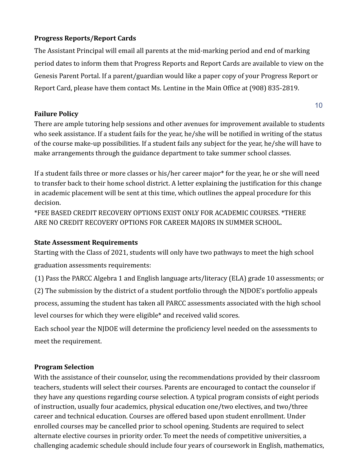#### **Progress Reports/Report Cards**

The Assistant Principal will email all parents at the mid-marking period and end of marking period dates to inform them that Progress Reports and Report Cards are available to view on the Genesis Parent Portal. If a parent/guardian would like a paper copy of your Progress Report or Report Card, please have them contact Ms. Lentine in the Main Office at (908) 835-2819.

#### **Failure Policy**

10

There are ample tutoring help sessions and other avenues for improvement available to students who seek assistance. If a student fails for the year, he/she will be notified in writing of the status of the course make-up possibilities. If a student fails any subject for the year, he/she will have to make arrangements through the guidance department to take summer school classes.

If a student fails three or more classes or his/her career major\* for the year, he or she will need to transfer back to their home school district. A letter explaining the justification for this change in academic placement will be sent at this time, which outlines the appeal procedure for this decision.

\*FEE BASED CREDIT RECOVERY OPTIONS EXIST ONLY FOR ACADEMIC COURSES. \*THERE ARE NO CREDIT RECOVERY OPTIONS FOR CAREER MAJORS IN SUMMER SCHOOL.

#### **State Assessment Requirements**

Starting with the Class of 2021, students will only have two pathways to meet the high school graduation assessments requirements:

(1) Pass the PARCC Algebra 1 and English language arts/literacy (ELA) grade 10 assessments; or (2) The submission by the district of a student portfolio through the NJDOE's portfolio appeals process, assuming the student has taken all PARCC assessments associated with the high school level courses for which they were eligible\* and received valid scores.

Each school year the NJDOE will determine the proficiency level needed on the assessments to meet the requirement.

#### **Program Selection**

With the assistance of their counselor, using the recommendations provided by their classroom teachers, students will select their courses. Parents are encouraged to contact the counselor if they have any questions regarding course selection. A typical program consists of eight periods of instruction, usually four academics, physical education one/two electives, and two/three career and technical education. Courses are offered based upon student enrollment. Under enrolled courses may be cancelled prior to school opening. Students are required to select alternate elective courses in priority order. To meet the needs of competitive universities, a challenging academic schedule should include four years of coursework in English, mathematics,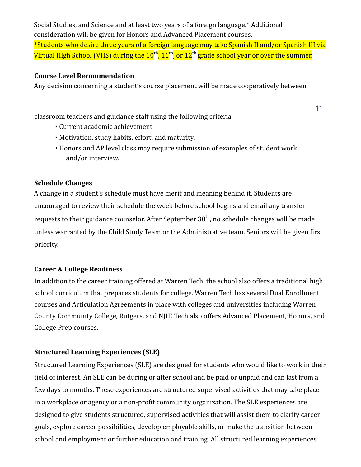Social Studies, and Science and at least two years of a foreign language.\* Additional consideration will be given for Honors and Advanced Placement courses. \*Students who desire three years of a foreign language may take Spanish II and/or Spanish III via Virtual High School (VHS) during the  $10^\mathrm{th}$ ,  $11^\mathrm{th}$ , or  $12^\mathrm{th}$  grade school year or over the summer.

#### **Course Level Recommendation**

Any decision concerning a student's course placement will be made cooperatively between

classroom teachers and guidance staff using the following criteria.

- ∙ Current academic achievement
- ∙ Motivation, study habits, effort, and maturity.
- ∙ Honors and AP level class may require submission of examples of student work and/or interview.

11

#### **Schedule Changes**

A change in a student's schedule must have merit and meaning behind it. Students are encouraged to review their schedule the week before school begins and email any transfer requests to their guidance counselor. After September 30<sup>th</sup>, no schedule changes will be made unless warranted by the Child Study Team or the Administrative team. Seniors will be given first priority.

#### **Career & College Readiness**

In addition to the career training offered at Warren Tech, the school also offers a traditional high school curriculum that prepares students for college. Warren Tech has several Dual Enrollment courses and Articulation Agreements in place with colleges and universities including Warren County Community College, Rutgers, and NJIT. Tech also offers Advanced Placement, Honors, and College Prep courses.

#### **Structured Learning Experiences (SLE)**

Structured Learning Experiences (SLE) are designed for students who would like to work in their field of interest. An SLE can be during or after school and be paid or unpaid and can last from a few days to months. These experiences are structured supervised activities that may take place in a workplace or agency or a non-profit community organization. The SLE experiences are designed to give students structured, supervised activities that will assist them to clarify career goals, explore career possibilities, develop employable skills, or make the transition between school and employment or further education and training. All structured learning experiences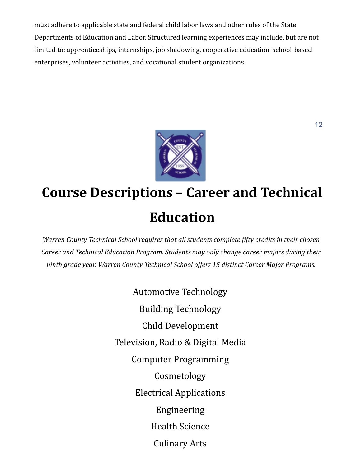must adhere to applicable state and federal child labor laws and other rules of the State Departments of Education and Labor. Structured learning experiences may include, but are not limited to: apprenticeships, internships, job shadowing, cooperative education, school-based enterprises, volunteer activities, and vocational student organizations.



## **Course Descriptions – Career and Technical Education**

*Warren County Technical School requires that all students complete fifty credits in their chosen Career and Technical Education Program. Students may only change career majors during their ninth grade year. Warren County Technical School offers 15 distinct Career Major Programs.*

> Automotive Technology Building Technology Child Development Television, Radio & Digital Media Computer Programming Cosmetology Electrical Applications Engineering Health Science Culinary Arts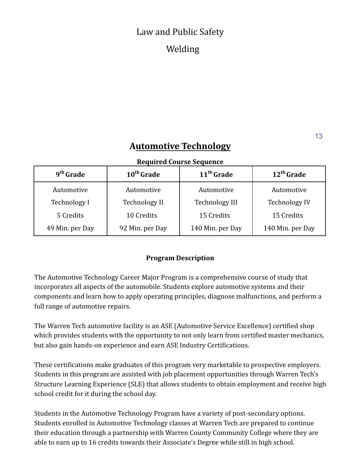## Law and Public Safety Welding

### **Automotive Technology**

#### **Required Course Sequence**

| 9 <sup>th</sup> Grade | 10 <sup>th</sup> Grade | 11 <sup>th</sup> Grade | $12th$ Grade         |
|-----------------------|------------------------|------------------------|----------------------|
| Automotive            | Automotive             | Automotive             | Automotive           |
| Technology I          | <b>Technology II</b>   | Technology III         | <b>Technology IV</b> |
| 5 Credits             | 10 Credits             | 15 Credits             | 15 Credits           |
| 49 Min. per Day       | 92 Min. per Day        | 140 Min. per Day       | 140 Min. per Day     |

#### **Program Description**

The Automotive Technology Career Major Program is a comprehensive course of study that incorporates all aspects of the automobile. Students explore automotive systems and their components and learn how to apply operating principles, diagnose malfunctions, and perform a full range of automotive repairs.

The Warren Tech automotive facility is an ASE (Automotive Service Excellence) certified shop which provides students with the opportunity to not only learn from certified master mechanics, but also gain hands-on experience and earn ASE Industry Certifications.

These certifications make graduates of this program very marketable to prospective employers. Students in this program are assisted with job placement opportunities through Warren Tech's Structure Learning Experience (SLE) that allows students to obtain employment and receive high school credit for it during the school day.

Students in the Automotive Technology Program have a variety of post-secondary options. Students enrolled in Automotive Technology classes at Warren Tech are prepared to continue their education through a partnership with Warren County Community College where they are able to earn up to 16 credits towards their Associate's Degree while still in high school.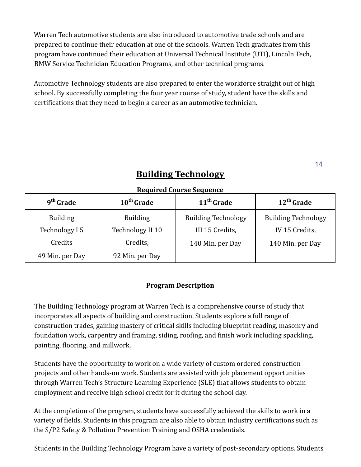Warren Tech automotive students are also introduced to automotive trade schools and are prepared to continue their education at one of the schools. Warren Tech graduates from this program have continued their education at Universal Technical Institute (UTI), Lincoln Tech, BMW Service Technician Education Programs, and other technical programs.

Automotive Technology students are also prepared to enter the workforce straight out of high school. By successfully completing the four year course of study, student have the skills and certifications that they need to begin a career as an automotive technician.

14

| 9 <sup>th</sup> Grade | 10 <sup>th</sup> Grade | 11 <sup>th</sup> Grade     | $12th$ Grade               |
|-----------------------|------------------------|----------------------------|----------------------------|
| <b>Building</b>       | <b>Building</b>        | <b>Building Technology</b> | <b>Building Technology</b> |
| Technology I 5        | Technology II 10       | III 15 Credits,            | IV 15 Credits,             |
| Credits               | Credits,               | 140 Min. per Day           | 140 Min. per Day           |
| 49 Min. per Day       | 92 Min. per Day        |                            |                            |

## **Building Technology**

**Required Course Sequence**

#### **Program Description**

The Building Technology program at Warren Tech is a comprehensive course of study that incorporates all aspects of building and construction. Students explore a full range of construction trades, gaining mastery of critical skills including blueprint reading, masonry and foundation work, carpentry and framing, siding, roofing, and finish work including spackling, painting, flooring, and millwork.

Students have the opportunity to work on a wide variety of custom ordered construction projects and other hands-on work. Students are assisted with job placement opportunities through Warren Tech's Structure Learning Experience (SLE) that allows students to obtain employment and receive high school credit for it during the school day.

At the completion of the program, students have successfully achieved the skills to work in a variety of fields. Students in this program are also able to obtain industry certifications such as the S/P2 Safety & Pollution Prevention Training and OSHA credentials.

Students in the Building Technology Program have a variety of post-secondary options. Students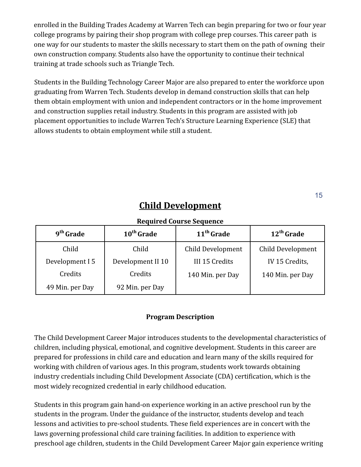enrolled in the Building Trades Academy at Warren Tech can begin preparing for two or four year college programs by pairing their shop program with college prep courses. This career path is one way for our students to master the skills necessary to start them on the path of owning their own construction company. Students also have the opportunity to continue their technical training at trade schools such as Triangle Tech.

Students in the Building Technology Career Major are also prepared to enter the workforce upon graduating from Warren Tech. Students develop in demand construction skills that can help them obtain employment with union and independent contractors or in the home improvement and construction supplies retail industry. Students in this program are assisted with job placement opportunities to include Warren Tech's Structure Learning Experience (SLE) that allows students to obtain employment while still a student.

## **Child Development**

#### **Required Course Sequence**

| 9 <sup>th</sup> Grade | 10 <sup>th</sup> Grade | 11 <sup>th</sup> Grade | $12th$ Grade      |
|-----------------------|------------------------|------------------------|-------------------|
| Child                 | Child                  | Child Development      | Child Development |
| Development I 5       | Development II 10      | III 15 Credits         | IV 15 Credits,    |
| Credits               | Credits                | 140 Min. per Day       | 140 Min. per Day  |
| 49 Min. per Day       | 92 Min. per Day        |                        |                   |

#### **Program Description**

The Child Development Career Major introduces students to the developmental characteristics of children, including physical, emotional, and cognitive development. Students in this career are prepared for professions in child care and education and learn many of the skills required for working with children of various ages. In this program, students work towards obtaining industry credentials including Child Development Associate (CDA) certification, which is the most widely recognized credential in early childhood education.

Students in this program gain hand-on experience working in an active preschool run by the students in the program. Under the guidance of the instructor, students develop and teach lessons and activities to pre-school students. These field experiences are in concert with the laws governing professional child care training facilities. In addition to experience with preschool age children, students in the Child Development Career Major gain experience writing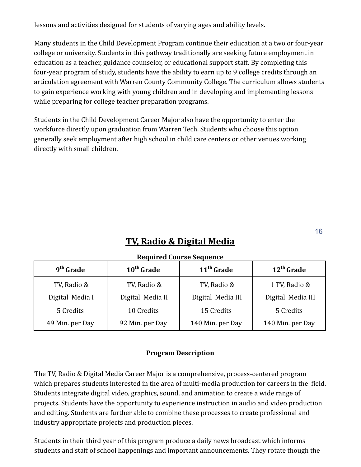lessons and activities designed for students of varying ages and ability levels.

Many students in the Child Development Program continue their education at a two or four-year college or university. Students in this pathway traditionally are seeking future employment in education as a teacher, guidance counselor, or educational support staff. By completing this four-year program of study, students have the ability to earn up to 9 college credits through an articulation agreement with Warren County Community College. The curriculum allows students to gain experience working with young children and in developing and implementing lessons while preparing for college teacher preparation programs.

Students in the Child Development Career Major also have the opportunity to enter the workforce directly upon graduation from Warren Tech. Students who choose this option generally seek employment after high school in child care centers or other venues working directly with small children.

## **TV, Radio & Digital Media**

16

| Regun cu course seguence |                        |                        |                   |
|--------------------------|------------------------|------------------------|-------------------|
| 9 <sup>th</sup> Grade    | 10 <sup>th</sup> Grade | 11 <sup>th</sup> Grade | $12th$ Grade      |
| TV, Radio &              | TV, Radio &            | TV, Radio &            | 1 TV, Radio &     |
| Digital Media I          | Digital Media II       | Digital Media III      | Digital Media III |
| 5 Credits                | 10 Credits             | 15 Credits             | 5 Credits         |
| 49 Min. per Day          | 92 Min. per Day        | 140 Min. per Day       | 140 Min. per Day  |

#### **Required Course Sequence**

#### **Program Description**

The TV, Radio & Digital Media Career Major is a comprehensive, process-centered program which prepares students interested in the area of multi-media production for careers in the field. Students integrate digital video, graphics, sound, and animation to create a wide range of projects. Students have the opportunity to experience instruction in audio and video production and editing. Students are further able to combine these processes to create professional and industry appropriate projects and production pieces.

Students in their third year of this program produce a daily news broadcast which informs students and staff of school happenings and important announcements. They rotate though the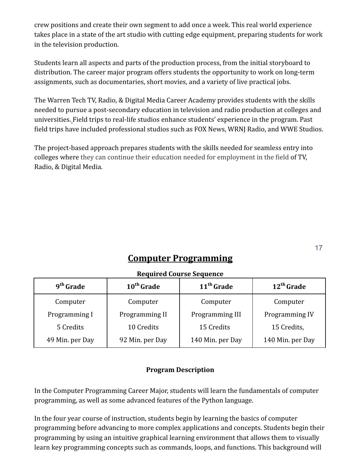crew positions and create their own segment to add once a week. This real world experience takes place in a state of the art studio with cutting edge equipment, preparing students for work in the television production.

Students learn all aspects and parts of the production process, from the initial storyboard to distribution. The career major program offers students the opportunity to work on long-term assignments, such as documentaries, short movies, and a variety of live practical jobs.

The Warren Tech TV, Radio, & Digital Media Career Academy provides students with the skills needed to pursue a post-secondary education in television and radio production at colleges and universities. Field trips to real-life studios enhance students' experience in the program. Past field trips have included professional studios such as FOX News, WRNJ Radio, and WWE Studios.

The project-based approach prepares students with the skills needed for seamless entry into colleges where they can continue their education needed for employment in the field of TV, Radio, & Digital Media.

## **Computer Programming**

| 9 <sup>th</sup> Grade | 10 <sup>th</sup> Grade | 11 <sup>th</sup> Grade | $12th$ Grade     |
|-----------------------|------------------------|------------------------|------------------|
| Computer              | Computer               | Computer               | Computer         |
| Programming I         | Programming II         | Programming III        | Programming IV   |
| 5 Credits             | 10 Credits             | 15 Credits             | 15 Credits,      |
| 49 Min. per Day       | 92 Min. per Day        | 140 Min. per Day       | 140 Min. per Day |

#### **Required Course Sequence**

#### **Program Description**

In the Computer Programming Career Major, students will learn the fundamentals of computer programming, as well as some advanced features of the Python language.

In the four year course of instruction, students begin by learning the basics of computer programming before advancing to more complex applications and concepts. Students begin their programming by using an intuitive graphical learning environment that allows them to visually learn key programming concepts such as commands, loops, and functions. This background will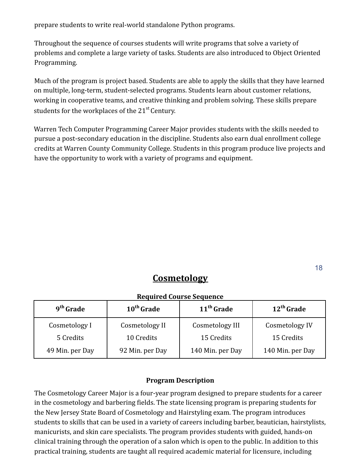prepare students to write real-world standalone Python programs.

Throughout the sequence of courses students will write programs that solve a variety of problems and complete a large variety of tasks. Students are also introduced to Object Oriented Programming.

Much of the program is project based. Students are able to apply the skills that they have learned on multiple, long-term, student-selected programs. Students learn about customer relations, working in cooperative teams, and creative thinking and problem solving. These skills prepare students for the workplaces of the  $21<sup>st</sup>$  Century.

Warren Tech Computer Programming Career Major provides students with the skills needed to pursue a post-secondary education in the discipline. Students also earn dual enrollment college credits at Warren County Community College. Students in this program produce live projects and have the opportunity to work with a variety of programs and equipment.

### **Cosmetology**

#### **Required Course Sequence**

| 9 <sup>th</sup> Grade | 10 <sup>th</sup> Grade | 11 <sup>th</sup> Grade | $12th$ Grade     |
|-----------------------|------------------------|------------------------|------------------|
| Cosmetology I         | Cosmetology II         | Cosmetology III        | Cosmetology IV   |
| 5 Credits             | 10 Credits             | 15 Credits             | 15 Credits       |
| 49 Min. per Day       | 92 Min. per Day        | 140 Min. per Day       | 140 Min. per Day |

#### **Program Description**

The Cosmetology Career Major is a four-year program designed to prepare students for a career in the cosmetology and barbering fields. The state licensing program is preparing students for the New Jersey State Board of Cosmetology and Hairstyling exam. The program introduces students to skills that can be used in a variety of careers including barber, beautician, hairstylists, manicurists, and skin care specialists. The program provides students with guided, hands-on clinical training through the operation of a salon which is open to the public. In addition to this practical training, students are taught all required academic material for licensure, including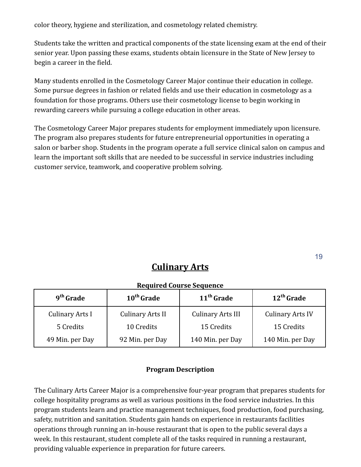color theory, hygiene and sterilization, and cosmetology related chemistry.

Students take the written and practical components of the state licensing exam at the end of their senior year. Upon passing these exams, students obtain licensure in the State of New Jersey to begin a career in the field.

Many students enrolled in the Cosmetology Career Major continue their education in college. Some pursue degrees in fashion or related fields and use their education in cosmetology as a foundation for those programs. Others use their cosmetology license to begin working in rewarding careers while pursuing a college education in other areas.

The Cosmetology Career Major prepares students for employment immediately upon licensure. The program also prepares students for future entrepreneurial opportunities in operating a salon or barber shop. Students in the program operate a full service clinical salon on campus and learn the important soft skills that are needed to be successful in service industries including customer service, teamwork, and cooperative problem solving.

### **Culinary Arts**

#### **Required Course Sequence**

| 9 <sup>th</sup> Grade  | 10 <sup>th</sup> Grade  | 11 <sup>th</sup> Grade   | $12th$ Grade            |
|------------------------|-------------------------|--------------------------|-------------------------|
| <b>Culinary Arts I</b> | <b>Culinary Arts II</b> | <b>Culinary Arts III</b> | <b>Culinary Arts IV</b> |
| 5 Credits              | 10 Credits              | 15 Credits               | 15 Credits              |
| 49 Min. per Day        | 92 Min. per Day         | 140 Min. per Day         | 140 Min. per Day        |

#### **Program Description**

The Culinary Arts Career Major is a comprehensive four-year program that prepares students for college hospitality programs as well as various positions in the food service industries. In this program students learn and practice management techniques, food production, food purchasing, safety, nutrition and sanitation. Students gain hands on experience in restaurants facilities operations through running an in-house restaurant that is open to the public several days a week. In this restaurant, student complete all of the tasks required in running a restaurant, providing valuable experience in preparation for future careers.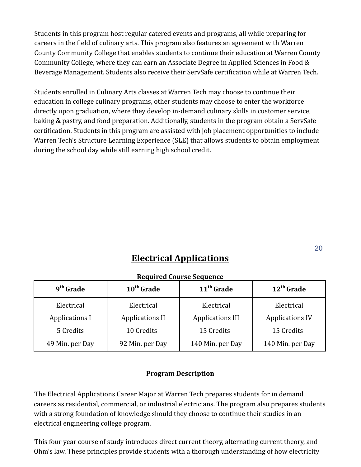Students in this program host regular catered events and programs, all while preparing for careers in the field of culinary arts. This program also features an agreement with Warren County Community College that enables students to continue their education at Warren County Community College, where they can earn an Associate Degree in Applied Sciences in Food & Beverage Management. Students also receive their ServSafe certification while at Warren Tech.

Students enrolled in Culinary Arts classes at Warren Tech may choose to continue their education in college culinary programs, other students may choose to enter the workforce directly upon graduation, where they develop in-demand culinary skills in customer service, baking & pastry, and food preparation. Additionally, students in the program obtain a ServSafe certification. Students in this program are assisted with job placement opportunities to include Warren Tech's Structure Learning Experience (SLE) that allows students to obtain employment during the school day while still earning high school credit.

## **Electrical Applications**

| $9th$ Grade           | 10 <sup>th</sup> Grade | 11 <sup>th</sup> Grade  | $12th$ Grade           |
|-----------------------|------------------------|-------------------------|------------------------|
| Electrical            | Electrical             | Electrical              | Electrical             |
| <b>Applications I</b> | <b>Applications II</b> | <b>Applications III</b> | <b>Applications IV</b> |
| 5 Credits             | 10 Credits             | 15 Credits              | 15 Credits             |
| 49 Min. per Day       | 92 Min. per Day        | 140 Min. per Day        | 140 Min. per Day       |

#### **Required Course Sequence**

#### **Program Description**

The Electrical Applications Career Major at Warren Tech prepares students for in demand careers as residential, commercial, or industrial electricians. The program also prepares students with a strong foundation of knowledge should they choose to continue their studies in an electrical engineering college program.

This four year course of study introduces direct current theory, alternating current theory, and Ohm's law. These principles provide students with a thorough understanding of how electricity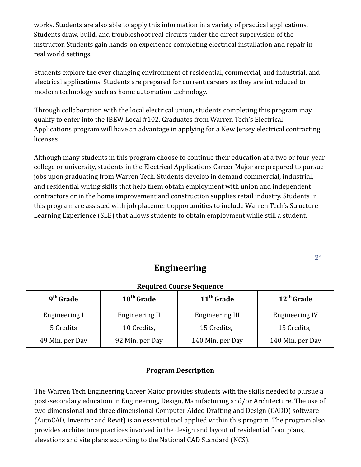works. Students are also able to apply this information in a variety of practical applications. Students draw, build, and troubleshoot real circuits under the direct supervision of the instructor. Students gain hands-on experience completing electrical installation and repair in real world settings.

Students explore the ever changing environment of residential, commercial, and industrial, and electrical applications. Students are prepared for current careers as they are introduced to modern technology such as home automation technology.

Through collaboration with the local electrical union, students completing this program may qualify to enter into the IBEW Local #102. Graduates from Warren Tech's Electrical Applications program will have an advantage in applying for a New Jersey electrical contracting licenses

Although many students in this program choose to continue their education at a two or four-year college or university, students in the Electrical Applications Career Major are prepared to pursue jobs upon graduating from Warren Tech. Students develop in demand commercial, industrial, and residential wiring skills that help them obtain employment with union and independent contractors or in the home improvement and construction supplies retail industry. Students in this program are assisted with job placement opportunities to include Warren Tech's Structure Learning Experience (SLE) that allows students to obtain employment while still a student.

### **Engineering**

#### **Required Course Sequence**

| 9 <sup>th</sup> Grade | $10th$ Grade          | 11 <sup>th</sup> Grade | $12th$ Grade          |
|-----------------------|-----------------------|------------------------|-----------------------|
| Engineering I         | <b>Engineering II</b> | <b>Engineering III</b> | <b>Engineering IV</b> |
| 5 Credits             | 10 Credits,           | 15 Credits,            | 15 Credits,           |
| 49 Min. per Day       | 92 Min. per Day       | 140 Min. per Day       | 140 Min. per Day      |

#### **Program Description**

The Warren Tech Engineering Career Major provides students with the skills needed to pursue a post-secondary education in Engineering, Design, Manufacturing and/or Architecture. The use of two dimensional and three dimensional Computer Aided Drafting and Design (CADD) software (AutoCAD, Inventor and Revit) is an essential tool applied within this program. The program also provides architecture practices involved in the design and layout of residential floor plans, elevations and site plans according to the National CAD Standard (NCS).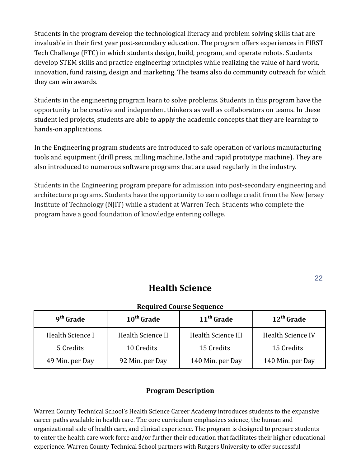Students in the program develop the technological literacy and problem solving skills that are invaluable in their first year post-secondary education. The program offers experiences in FIRST Tech Challenge (FTC) in which students design, build, program, and operate robots. Students develop STEM skills and practice engineering principles while realizing the value of hard work, innovation, fund raising, design and marketing. The teams also do community outreach for which they can win awards.

Students in the engineering program learn to solve problems. Students in this program have the opportunity to be creative and independent thinkers as well as collaborators on teams. In these student led projects, students are able to apply the academic concepts that they are learning to hands-on applications.

In the Engineering program students are introduced to safe operation of various manufacturing tools and equipment (drill press, milling machine, lathe and rapid prototype machine). They are also introduced to numerous software programs that are used regularly in the industry.

Students in the Engineering program prepare for admission into post-secondary engineering and architecture programs. Students have the opportunity to earn college credit from the New Jersey Institute of Technology (NJIT) while a student at Warren Tech. Students who complete the program have a good foundation of knowledge entering college.

### **Health Science**

22

#### **Required Course Sequence**

| 9 <sup>th</sup> Grade | $10th$ Grade      | 11 <sup>th</sup> Grade | $12th$ Grade             |
|-----------------------|-------------------|------------------------|--------------------------|
| Health Science I      | Health Science II | Health Science III     | <b>Health Science IV</b> |
| 5 Credits             | 10 Credits        | 15 Credits             | 15 Credits               |
| 49 Min. per Day       | 92 Min. per Day   | 140 Min. per Day       | 140 Min. per Day         |

#### **Program Description**

Warren County Technical School's Health Science Career Academy introduces students to the expansive career paths available in health care. The core curriculum emphasizes science, the human and organizational side of health care, and clinical experience. The program is designed to prepare students to enter the health care work force and/or further their education that facilitates their higher educational experience. Warren County Technical School partners with Rutgers University to offer successful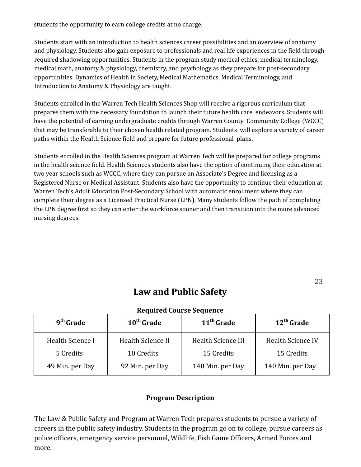students the opportunity to earn college credits at no charge.

Students start with an introduction to health sciences career possibilities and an overview of anatomy and physiology. Students also gain exposure to professionals and real life experiences in the field through required shadowing opportunities. Students in the program study medical ethics, medical terminology, medical math, anatomy & physiology, chemistry, and psychology as they prepare for post-secondary opportunities. Dynamics of Health in Society, Medical Mathematics, Medical Terminology, and Introduction to Anatomy & Physiology are taught.

Students enrolled in the Warren Tech Health Sciences Shop will receive a rigorous curriculum that prepares them with the necessary foundation to launch their future health care endeavors. Students will have the potential of earning undergraduate credits through Warren County Community College (WCCC) that may be transferable to their chosen health related program. Students will explore a variety of career paths within the Health Science field and prepare for future professional plans.

Students enrolled in the Health Sciences program at Warren Tech will be prepared for college programs in the health science field. Health Sciences students also have the option of continuing their education at two year schools such as WCCC, where they can pursue an Associate's Degree and licensing as a Registered Nurse or Medical Assistant. Students also have the opportunity to continue their education at Warren Tech's Adult Education Post-Secondary School with automatic enrollment where they can complete their degree as a Licensed Practical Nurse (LPN). Many students follow the path of completing the LPN degree first so they can enter the workforce sooner and then transition into the more advanced nursing degrees.

23

## **Law and Public Safety**

#### **Required Course Sequence**

| 9 <sup>th</sup> Grade | 10 <sup>th</sup> Grade | 11 <sup>th</sup> Grade | 12 <sup>th</sup> Grade   |
|-----------------------|------------------------|------------------------|--------------------------|
| Health Science I      | Health Science II      | Health Science III     | <b>Health Science IV</b> |
| 5 Credits             | 10 Credits             | 15 Credits             | 15 Credits               |
| 49 Min. per Day       | 92 Min. per Day        | 140 Min. per Day       | 140 Min. per Day         |

#### **Program Description**

The Law & Public Safety and Program at Warren Tech prepares students to pursue a variety of careers in the public safety industry. Students in the program go on to college, pursue careers as police officers, emergency service personnel, Wildlife, Fish Game Officers, Armed Forces and more.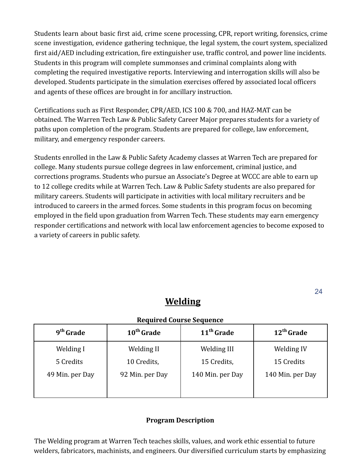Students learn about basic first aid, crime scene processing, CPR, report writing, forensics, crime scene investigation, evidence gathering technique, the legal system, the court system, specialized first aid/AED including extrication, fire extinguisher use, traffic control, and power line incidents. Students in this program will complete summonses and criminal complaints along with completing the required investigative reports. Interviewing and interrogation skills will also be developed. Students participate in the simulation exercises offered by associated local officers and agents of these offices are brought in for ancillary instruction.

Certifications such as First Responder, CPR/AED, ICS 100 & 700, and HAZ-MAT can be obtained. The Warren Tech Law & Public Safety Career Major prepares students for a variety of paths upon completion of the program. Students are prepared for college, law enforcement, military, and emergency responder careers.

Students enrolled in the Law & Public Safety Academy classes at Warren Tech are prepared for college. Many students pursue college degrees in law enforcement, criminal justice, and corrections programs. Students who pursue an Associate's Degree at WCCC are able to earn up to 12 college credits while at Warren Tech. Law & Public Safety students are also prepared for military careers. Students will participate in activities with local military recruiters and be introduced to careers in the armed forces. Some students in this program focus on becoming employed in the field upon graduation from Warren Tech. These students may earn emergency responder certifications and network with local law enforcement agencies to become exposed to a variety of careers in public safety.

## **Welding**

#### **Required Course Sequence**

| 9 <sup>th</sup> Grade | 10 <sup>th</sup> Grade | 11 <sup>th</sup> Grade | 12 <sup>th</sup> Grade |
|-----------------------|------------------------|------------------------|------------------------|
| Welding I             | Welding II             | Welding III            | Welding IV             |
| 5 Credits             | 10 Credits,            | 15 Credits,            | 15 Credits             |
| 49 Min. per Day       | 92 Min. per Day        | 140 Min. per Day       | 140 Min. per Day       |

#### **Program Description**

The Welding program at Warren Tech teaches skills, values, and work ethic essential to future welders, fabricators, machinists, and engineers. Our diversified curriculum starts by emphasizing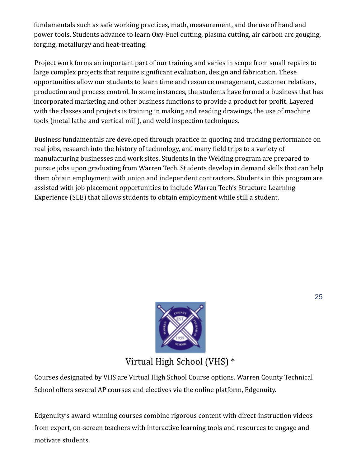fundamentals such as safe working practices, math, measurement, and the use of hand and power tools. Students advance to learn Oxy-Fuel cutting, plasma cutting, air carbon arc gouging, forging, metallurgy and heat-treating.

Project work forms an important part of our training and varies in scope from small repairs to large complex projects that require significant evaluation, design and fabrication. These opportunities allow our students to learn time and resource management, customer relations, production and process control. In some instances, the students have formed a business that has incorporated marketing and other business functions to provide a product for profit. Layered with the classes and projects is training in making and reading drawings, the use of machine tools (metal lathe and vertical mill), and weld inspection techniques.

Business fundamentals are developed through practice in quoting and tracking performance on real jobs, research into the history of technology, and many field trips to a variety of manufacturing businesses and work sites. Students in the Welding program are prepared to pursue jobs upon graduating from Warren Tech. Students develop in demand skills that can help them obtain employment with union and independent contractors. Students in this program are assisted with job placement opportunities to include Warren Tech's Structure Learning Experience (SLE) that allows students to obtain employment while still a student.



Virtual High School (VHS) \*

Courses designated by VHS are Virtual High School Course options. Warren County Technical School offers several AP courses and electives via the online platform, Edgenuity.

Edgenuity's award-winning courses combine rigorous content with direct-instruction videos from expert, on-screen teachers with interactive learning tools and resources to engage and motivate students.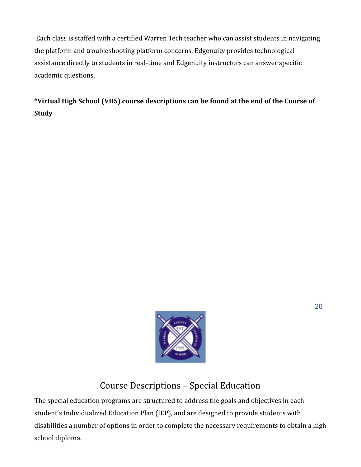Each class is staffed with a certified Warren Tech teacher who can assist students in navigating the platform and troubleshooting platform concerns. Edgenuity provides technological assistance directly to students in real-time and Edgenuity instructors can answer specific academic questions.

**\*Virtual High School (VHS) course descriptions can be found at the end of the Course of Study**



## Course Descriptions – Special Education

The special education programs are structured to address the goals and objectives in each student's Individualized Education Plan (IEP), and are designed to provide students with disabilities a number of options in order to complete the necessary requirements to obtain a high school diploma.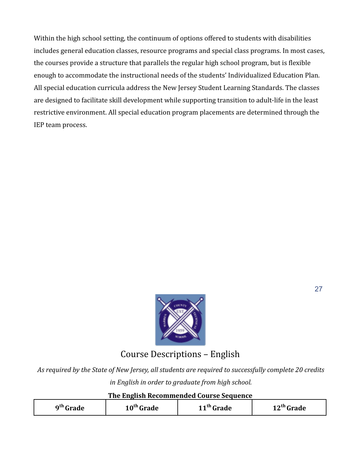Within the high school setting, the continuum of options offered to students with disabilities includes general education classes, resource programs and special class programs. In most cases, the courses provide a structure that parallels the regular high school program, but is flexible enough to accommodate the instructional needs of the students' Individualized Education Plan. All special education curricula address the New Jersey Student Learning Standards. The classes are designed to facilitate skill development while supporting transition to adult-life in the least restrictive environment. All special education program placements are determined through the IEP team process.



Course Descriptions – English

*As required by the State of New Jersey, all students are required to successfully complete 20 credits in English in order to graduate from high school.*

#### **The English Recommended Course Sequence**

| ∩th   | $10="sub>m$ | u     | 'nodo |
|-------|-------------|-------|-------|
| `nodo | ™odo.       | `rade | raue  |
| . .   | aue         |       |       |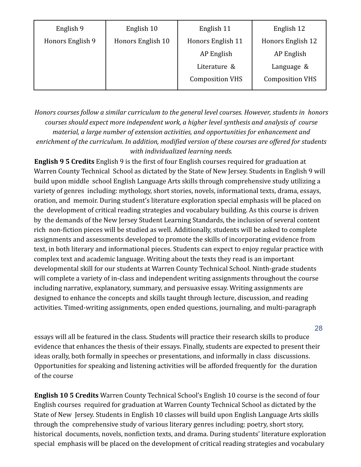| English 9        | English 10        | English 11             | English 12             |
|------------------|-------------------|------------------------|------------------------|
| Honors English 9 | Honors English 10 | Honors English 11      | Honors English 12      |
|                  |                   | AP English             | AP English             |
|                  |                   | Literature &           | Language &             |
|                  |                   | <b>Composition VHS</b> | <b>Composition VHS</b> |
|                  |                   |                        |                        |

*Honors courses follow a similar curriculum to the general level courses. However, students in honors courses should expect more independent work, a higher level synthesis and analysis of course material, a large number of extension activities, and opportunities for enhancement and enrichment of the curriculum. In addition, modified version of these courses are offered for students with individualized learning needs.*

**English 9 5 Credits** English 9 is the first of four English courses required for graduation at Warren County Technical School as dictated by the State of New Jersey. Students in English 9 will build upon middle school English Language Arts skills through comprehensive study utilizing a variety of genres including: mythology, short stories, novels, informational texts, drama, essays, oration, and memoir. During student's literature exploration special emphasis will be placed on the development of critical reading strategies and vocabulary building. As this course is driven by the demands of the New Jersey Student Learning Standards, the inclusion of several content rich non-fiction pieces will be studied as well. Additionally, students will be asked to complete assignments and assessments developed to promote the skills of incorporating evidence from text, in both literary and informational pieces. Students can expect to enjoy regular practice with complex text and academic language. Writing about the texts they read is an important developmental skill for our students at Warren County Technical School. Ninth-grade students will complete a variety of in-class and independent writing assignments throughout the course including narrative, explanatory, summary, and persuasive essay. Writing assignments are designed to enhance the concepts and skills taught through lecture, discussion, and reading activities. Timed-writing assignments, open ended questions, journaling, and multi-paragraph

essays will all be featured in the class. Students will practice their research skills to produce evidence that enhances the thesis of their essays. Finally, students are expected to present their ideas orally, both formally in speeches or presentations, and informally in class discussions. Opportunities for speaking and listening activities will be afforded frequently for the duration of the course

**English 10 5 Credits** Warren County Technical School's English 10 course is the second of four English courses required for graduation at Warren County Technical School as dictated by the State of New Jersey. Students in English 10 classes will build upon English Language Arts skills through the comprehensive study of various literary genres including: poetry, short story, historical documents, novels, nonfiction texts, and drama. During students' literature exploration special emphasis will be placed on the development of critical reading strategies and vocabulary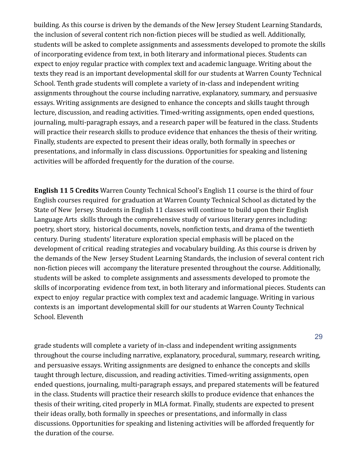building. As this course is driven by the demands of the New Jersey Student Learning Standards, the inclusion of several content rich non-fiction pieces will be studied as well. Additionally, students will be asked to complete assignments and assessments developed to promote the skills of incorporating evidence from text, in both literary and informational pieces. Students can expect to enjoy regular practice with complex text and academic language. Writing about the texts they read is an important developmental skill for our students at Warren County Technical School. Tenth grade students will complete a variety of in-class and independent writing assignments throughout the course including narrative, explanatory, summary, and persuasive essays. Writing assignments are designed to enhance the concepts and skills taught through lecture, discussion, and reading activities. Timed-writing assignments, open ended questions, journaling, multi-paragraph essays, and a research paper will be featured in the class. Students will practice their research skills to produce evidence that enhances the thesis of their writing. Finally, students are expected to present their ideas orally, both formally in speeches or presentations, and informally in class discussions. Opportunities for speaking and listening activities will be afforded frequently for the duration of the course.

**English 11 5 Credits** Warren County Technical School's English 11 course is the third of four English courses required for graduation at Warren County Technical School as dictated by the State of New Jersey. Students in English 11 classes will continue to build upon their English Language Arts skills through the comprehensive study of various literary genres including: poetry, short story, historical documents, novels, nonfiction texts, and drama of the twentieth century. During students' literature exploration special emphasis will be placed on the development of critical reading strategies and vocabulary building. As this course is driven by the demands of the New Jersey Student Learning Standards, the inclusion of several content rich non-fiction pieces will accompany the literature presented throughout the course. Additionally, students will be asked to complete assignments and assessments developed to promote the skills of incorporating evidence from text, in both literary and informational pieces. Students can expect to enjoy regular practice with complex text and academic language. Writing in various contexts is an important developmental skill for our students at Warren County Technical School. Eleventh

grade students will complete a variety of in-class and independent writing assignments throughout the course including narrative, explanatory, procedural, summary, research writing, and persuasive essays. Writing assignments are designed to enhance the concepts and skills taught through lecture, discussion, and reading activities. Timed-writing assignments, open ended questions, journaling, multi-paragraph essays, and prepared statements will be featured in the class. Students will practice their research skills to produce evidence that enhances the thesis of their writing, cited properly in MLA format. Finally, students are expected to present their ideas orally, both formally in speeches or presentations, and informally in class discussions. Opportunities for speaking and listening activities will be afforded frequently for the duration of the course.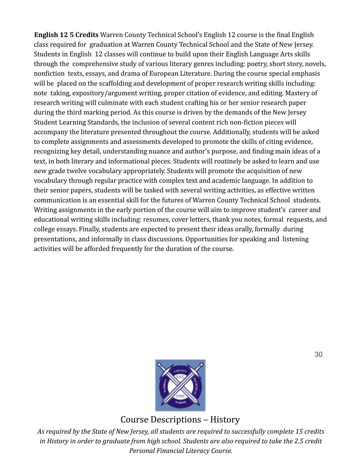**English 12 5 Credits** Warren County Technical School's English 12 course is the final English class required for graduation at Warren County Technical School and the State of New Jersey. Students in English 12 classes will continue to build upon their English Language Arts skills through the comprehensive study of various literary genres including: poetry, short story, novels, nonfiction texts, essays, and drama of European Literature. During the course special emphasis will be placed on the scaffolding and development of proper research writing skills including: note taking, expository/argument writing, proper citation of evidence, and editing. Mastery of research writing will culminate with each student crafting his or her senior research paper during the third marking period. As this course is driven by the demands of the New Jersey Student Learning Standards, the inclusion of several content rich non-fiction pieces will accompany the literature presented throughout the course. Additionally, students will be asked to complete assignments and assessments developed to promote the skills of citing evidence, recognizing key detail, understanding nuance and author's purpose, and finding main ideas of a text, in both literary and informational pieces. Students will routinely be asked to learn and use new grade twelve vocabulary appropriately. Students will promote the acquisition of new vocabulary through regular practice with complex text and academic language. In addition to their senior papers, students will be tasked with several writing activities, as effective written communication is an essential skill for the futures of Warren County Technical School students. Writing assignments in the early portion of the course will aim to improve student's career and educational writing skills including: resumes, cover letters, thank you notes, formal requests, and college essays. Finally, students are expected to present their ideas orally, formally during presentations, and informally in class discussions. Opportunities for speaking and listening activities will be afforded frequently for the duration of the course.



Course Descriptions – History

*As required by the State of New Jersey, all students are required to successfully complete 15 credits in History in order to graduate from high school. Students are also required to take the 2.5 credit Personal Financial Literacy Course.*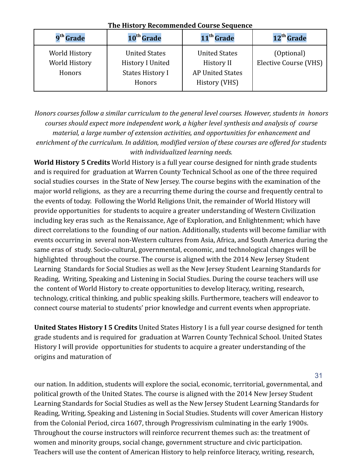| 9 <sup>th</sup> Grade                    | 10 <sup>th</sup> Grade                                                               | 11 <sup>th</sup> Grade                                                         | 12 <sup>th</sup> Grade              |
|------------------------------------------|--------------------------------------------------------------------------------------|--------------------------------------------------------------------------------|-------------------------------------|
| World History<br>World History<br>Honors | <b>United States</b><br><b>History I United</b><br><b>States History I</b><br>Honors | <b>United States</b><br>History II<br><b>AP United States</b><br>History (VHS) | (Optional)<br>Elective Course (VHS) |

#### **The History Recommended Course Sequence**

*Honors courses follow a similar curriculum to the general level courses. However, students in honors courses should expect more independent work, a higher level synthesis and analysis of course material, a large number of extension activities, and opportunities for enhancement and enrichment of the curriculum. In addition, modified version of these courses are offered for students with individualized learning needs.*

**World History 5 Credits** World History is a full year course designed for ninth grade students and is required for graduation at Warren County Technical School as one of the three required social studies courses in the State of New Jersey. The course begins with the examination of the major world religions, as they are a recurring theme during the course and frequently central to the events of today. Following the World Religions Unit, the remainder of World History will provide opportunities for students to acquire a greater understanding of Western Civilization including key eras such as the Renaissance, Age of Exploration, and Enlightenment; which have direct correlations to the founding of our nation. Additionally, students will become familiar with events occurring in several non-Western cultures from Asia, Africa, and South America during the same eras of study. Socio-cultural, governmental, economic, and technological changes will be highlighted throughout the course. The course is aligned with the 2014 New Jersey Student Learning Standards for Social Studies as well as the New Jersey Student Learning Standards for Reading, Writing, Speaking and Listening in Social Studies. During the course teachers will use the content of World History to create opportunities to develop literacy, writing, research, technology, critical thinking, and public speaking skills. Furthermore, teachers will endeavor to connect course material to students' prior knowledge and current events when appropriate.

**United States History I 5 Credits** United States History I is a full year course designed for tenth grade students and is required for graduation at Warren County Technical School. United States History I will provide opportunities for students to acquire a greater understanding of the origins and maturation of

31

our nation. In addition, students will explore the social, economic, territorial, governmental, and political growth of the United States. The course is aligned with the 2014 New Jersey Student Learning Standards for Social Studies as well as the New Jersey Student Learning Standards for Reading, Writing, Speaking and Listening in Social Studies. Students will cover American History from the Colonial Period, circa 1607, through Progressivism culminating in the early 1900s. Throughout the course instructors will reinforce recurrent themes such as: the treatment of women and minority groups, social change, government structure and civic participation. Teachers will use the content of American History to help reinforce literacy, writing, research,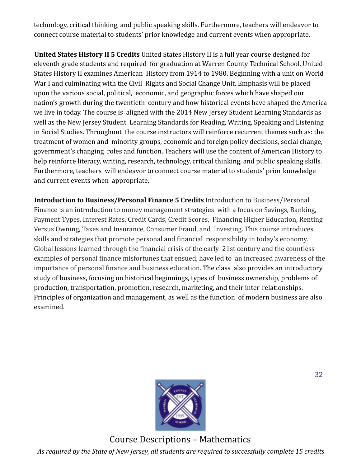technology, critical thinking, and public speaking skills. Furthermore, teachers will endeavor to connect course material to students' prior knowledge and current events when appropriate.

**United States History II 5 Credits** United States History II is a full year course designed for eleventh grade students and required for graduation at Warren County Technical School. United States History II examines American History from 1914 to 1980. Beginning with a unit on World War I and culminating with the Civil Rights and Social Change Unit. Emphasis will be placed upon the various social, political, economic, and geographic forces which have shaped our nation's growth during the twentieth century and how historical events have shaped the America we live in today. The course is aligned with the 2014 New Jersey Student Learning Standards as well as the New Jersey Student Learning Standards for Reading, Writing, Speaking and Listening in Social Studies. Throughout the course instructors will reinforce recurrent themes such as: the treatment of women and minority groups, economic and foreign policy decisions, social change, government's changing roles and function. Teachers will use the content of American History to help reinforce literacy, writing, research, technology, critical thinking, and public speaking skills. Furthermore, teachers will endeavor to connect course material to students' prior knowledge and current events when appropriate.

**Introduction to Business/Personal Finance 5 Credits** Introduction to Business/Personal Finance is an introduction to money management strategies with a focus on Savings, Banking, Payment Types, Interest Rates, Credit Cards, Credit Scores, Financing Higher Education, Renting Versus Owning, Taxes and Insurance, Consumer Fraud, and Investing. This course introduces skills and strategies that promote personal and financial responsibility in today's economy. Global lessons learned through the financial crisis of the early 21st century and the countless examples of personal finance misfortunes that ensued, have led to an increased awareness of the importance of personal finance and business education. The class also provides an introductory study of business, focusing on historical beginnings, types of business ownership, problems of production, transportation, promotion, research, marketing, and their inter-relationships. Principles of organization and management, as well as the function of modern business are also examined.



Course Descriptions – Mathematics *As required by the State of New Jersey, all students are required to successfully complete 15 credits*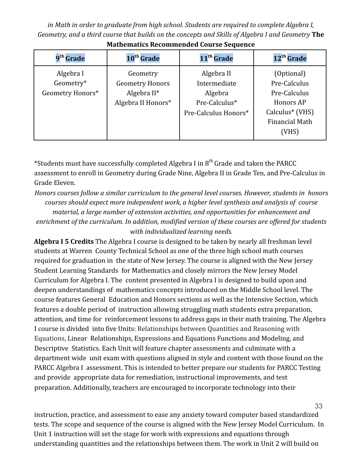*in Math in order to graduate from high school. Students are required to complete Algebra I, Geometry, and a third course that builds on the concepts and Skills of Algebra I and Geometry* **The**

| 9 <sup>th</sup> Grade                      | 10 <sup>th</sup> Grade                                                     | 11 <sup>th</sup> Grade                                                         | 12 <sup>th</sup> Grade                                                                                            |
|--------------------------------------------|----------------------------------------------------------------------------|--------------------------------------------------------------------------------|-------------------------------------------------------------------------------------------------------------------|
| Algebra I<br>Geometry*<br>Geometry Honors* | Geometry<br><b>Geometry Honors</b><br>Algebra $II^*$<br>Algebra II Honors* | Algebra II<br>Intermediate<br>Algebra<br>Pre-Calculus*<br>Pre-Calculus Honors* | (Optional)<br>Pre-Calculus<br>Pre-Calculus<br>Honors AP<br>Calculus <sup>*</sup> (VHS)<br>Financial Math<br>(VHS) |

**Mathematics Recommended Course Sequence**

\*Students must have successfully completed Algebra I in  $8^{th}$  Grade and taken the PARCC assessment to enroll in Geometry during Grade Nine, Algebra II in Grade Ten, and Pre-Calculus in Grade Eleven.

*Honors courses follow a similar curriculum to the general level courses. However, students in honors courses should expect more independent work, a higher level synthesis and analysis of course material, a large number of extension activities, and opportunities for enhancement and enrichment of the curriculum. In addition, modified version of these courses are offered for students with individualized learning needs.*

**Algebra I 5 Credits** The Algebra I course is designed to be taken by nearly all freshman level students at Warren County Technical School as one of the three high school math courses required for graduation in the state of New Jersey. The course is aligned with the New Jersey Student Learning Standards for Mathematics and closely mirrors the New Jersey Model Curriculum for Algebra I. The content presented in Algebra I is designed to build upon and deepen understandings of mathematics concepts introduced on the Middle School level. The course features General Education and Honors sections as well as the Intensive Section, which features a double period of instruction allowing struggling math students extra preparation, attention, and time for reinforcement lessons to address gaps in their math training. The Algebra I course is divided into five Units: Relationships between Quantities and Reasoning with Equations, Linear Relationships, Expressions and Equations Functions and Modeling, and Descriptive Statistics. Each Unit will feature chapter assessments and culminate with a department wide unit exam with questions aligned in style and content with those found on the PARCC Algebra I assessment. This is intended to better prepare our students for PARCC Testing and provide appropriate data for remediation, instructional improvements, and test preparation. Additionally, teachers are encouraged to incorporate technology into their

instruction, practice, and assessment to ease any anxiety toward computer based standardized tests. The scope and sequence of the course is aligned with the New Jersey Model Curriculum. In Unit 1 instruction will set the stage for work with expressions and equations through understanding quantities and the relationships between them. The work in Unit 2 will build on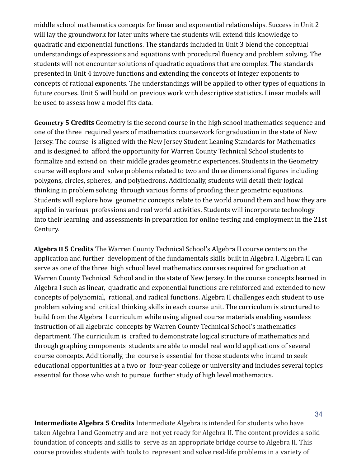middle school mathematics concepts for linear and exponential relationships. Success in Unit 2 will lay the groundwork for later units where the students will extend this knowledge to quadratic and exponential functions. The standards included in Unit 3 blend the conceptual understandings of expressions and equations with procedural fluency and problem solving. The students will not encounter solutions of quadratic equations that are complex. The standards presented in Unit 4 involve functions and extending the concepts of integer exponents to concepts of rational exponents. The understandings will be applied to other types of equations in future courses. Unit 5 will build on previous work with descriptive statistics. Linear models will be used to assess how a model fits data.

**Geometry 5 Credits** Geometry is the second course in the high school mathematics sequence and one of the three required years of mathematics coursework for graduation in the state of New Jersey. The course is aligned with the New Jersey Student Leaning Standards for Mathematics and is designed to afford the opportunity for Warren County Technical School students to formalize and extend on their middle grades geometric experiences. Students in the Geometry course will explore and solve problems related to two and three dimensional figures including polygons, circles, spheres, and polyhedrons. Additionally, students will detail their logical thinking in problem solving through various forms of proofing their geometric equations. Students will explore how geometric concepts relate to the world around them and how they are applied in various professions and real world activities. Students will incorporate technology into their learning and assessments in preparation for online testing and employment in the 21st Century.

**Algebra II 5 Credits** The Warren County Technical School's Algebra II course centers on the application and further development of the fundamentals skills built in Algebra I. Algebra II can serve as one of the three high school level mathematics courses required for graduation at Warren County Technical School and in the state of New Jersey. In the course concepts learned in Algebra I such as linear, quadratic and exponential functions are reinforced and extended to new concepts of polynomial, rational, and radical functions. Algebra II challenges each student to use problem solving and critical thinking skills in each course unit. The curriculum is structured to build from the Algebra I curriculum while using aligned course materials enabling seamless instruction of all algebraic concepts by Warren County Technical School's mathematics department. The curriculum is crafted to demonstrate logical structure of mathematics and through graphing components students are able to model real world applications of several course concepts. Additionally, the course is essential for those students who intend to seek educational opportunities at a two or four-year college or university and includes several topics essential for those who wish to pursue further study of high level mathematics.

**Intermediate Algebra 5 Credits** Intermediate Algebra is intended for students who have taken Algebra I and Geometry and are not yet ready for Algebra II. The content provides a solid foundation of concepts and skills to serve as an appropriate bridge course to Algebra II. This course provides students with tools to represent and solve real-life problems in a variety of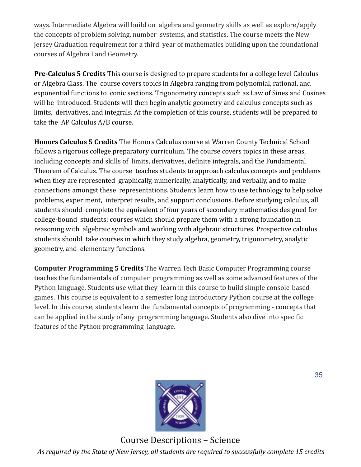ways. Intermediate Algebra will build on algebra and geometry skills as well as explore/apply the concepts of problem solving, number systems, and statistics. The course meets the New Jersey Graduation requirement for a third year of mathematics building upon the foundational courses of Algebra I and Geometry.

**Pre-Calculus 5 Credits** This course is designed to prepare students for a college level Calculus or Algebra Class. The course covers topics in Algebra ranging from polynomial, rational, and exponential functions to conic sections. Trigonometry concepts such as Law of Sines and Cosines will be introduced. Students will then begin analytic geometry and calculus concepts such as limits, derivatives, and integrals. At the completion of this course, students will be prepared to take the AP Calculus A/B course.

**Honors Calculus 5 Credits** The Honors Calculus course at Warren County Technical School follows a rigorous college preparatory curriculum. The course covers topics in these areas, including concepts and skills of limits, derivatives, definite integrals, and the Fundamental Theorem of Calculus. The course teaches students to approach calculus concepts and problems when they are represented graphically, numerically, analytically, and verbally, and to make connections amongst these representations. Students learn how to use technology to help solve problems, experiment, interpret results, and support conclusions. Before studying calculus, all students should complete the equivalent of four years of secondary mathematics designed for college-bound students: courses which should prepare them with a strong foundation in reasoning with algebraic symbols and working with algebraic structures. Prospective calculus students should take courses in which they study algebra, geometry, trigonometry, analytic geometry, and elementary functions.

**Computer Programming 5 Credits** The Warren Tech Basic Computer Programming course teaches the fundamentals of computer programming as well as some advanced features of the Python language. Students use what they learn in this course to build simple console-based games. This course is equivalent to a semester long introductory Python course at the college level. In this course, students learn the fundamental concepts of programming - concepts that can be applied in the study of any programming language. Students also dive into specific features of the Python programming language.



Course Descriptions – Science *As required by the State of New Jersey, all students are required to successfully complete 15 credits*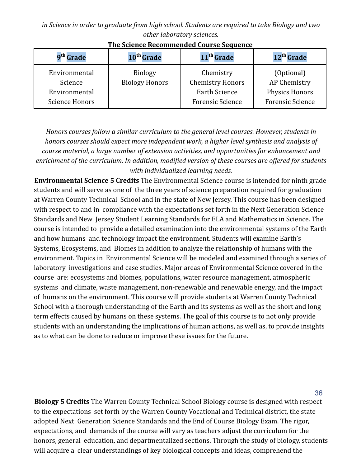*in Science in order to graduate from high school. Students are required to take Biology and two other laboratory sciences.*

| 9 <sup>th</sup> Grade    | 10 <sup>th</sup> Grade                  | 11 <sup>th</sup> Grade               | 12 <sup>th</sup> Grade     |
|--------------------------|-----------------------------------------|--------------------------------------|----------------------------|
| Environmental<br>Science | <b>Biology</b><br><b>Biology Honors</b> | Chemistry<br><b>Chemistry Honors</b> | (Optional)<br>AP Chemistry |
| Environmental            |                                         | <b>Earth Science</b>                 | <b>Physics Honors</b>      |
| <b>Science Honors</b>    |                                         | <b>Forensic Science</b>              | <b>Forensic Science</b>    |

**The Science Recommended Course Sequence**

*Honors courses follow a similar curriculum to the general level courses. However, students in honors courses should expect more independent work, a higher level synthesis and analysis of course material, a large number of extension activities, and opportunities for enhancement and enrichment of the curriculum. In addition, modified version of these courses are offered for students with individualized learning needs.*

**Environmental Science 5 Credits** The Environmental Science course is intended for ninth grade students and will serve as one of the three years of science preparation required for graduation at Warren County Technical School and in the state of New Jersey. This course has been designed with respect to and in compliance with the expectations set forth in the Next Generation Science Standards and New Jersey Student Learning Standards for ELA and Mathematics in Science. The course is intended to provide a detailed examination into the environmental systems of the Earth and how humans and technology impact the environment. Students will examine Earth's Systems, Ecosystems, and Biomes in addition to analyze the relationship of humans with the environment. Topics in Environmental Science will be modeled and examined through a series of laboratory investigations and case studies. Major areas of Environmental Science covered in the course are: ecosystems and biomes, populations, water resource management, atmospheric systems and climate, waste management, non-renewable and renewable energy, and the impact of humans on the environment. This course will provide students at Warren County Technical School with a thorough understanding of the Earth and its systems as well as the short and long term effects caused by humans on these systems. The goal of this course is to not only provide students with an understanding the implications of human actions, as well as, to provide insights as to what can be done to reduce or improve these issues for the future.

**Biology 5 Credits** The Warren County Technical School Biology course is designed with respect to the expectations set forth by the Warren County Vocational and Technical district, the state adopted Next Generation Science Standards and the End of Course Biology Exam. The rigor, expectations, and demands of the course will vary as teachers adjust the curriculum for the honors, general education, and departmentalized sections. Through the study of biology, students will acquire a clear understandings of key biological concepts and ideas, comprehend the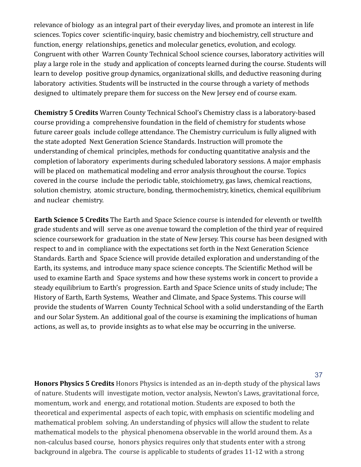relevance of biology as an integral part of their everyday lives, and promote an interest in life sciences. Topics cover scientific-inquiry, basic chemistry and biochemistry, cell structure and function, energy relationships, genetics and molecular genetics, evolution, and ecology. Congruent with other Warren County Technical School science courses, laboratory activities will play a large role in the study and application of concepts learned during the course. Students will learn to develop positive group dynamics, organizational skills, and deductive reasoning during laboratory activities. Students will be instructed in the course through a variety of methods designed to ultimately prepare them for success on the New Jersey end of course exam.

**Chemistry 5 Credits** Warren County Technical School's Chemistry class is a laboratory-based course providing a comprehensive foundation in the field of chemistry for students whose future career goals include college attendance. The Chemistry curriculum is fully aligned with the state adopted Next Generation Science Standards. Instruction will promote the understanding of chemical principles, methods for conducting quantitative analysis and the completion of laboratory experiments during scheduled laboratory sessions. A major emphasis will be placed on mathematical modeling and error analysis throughout the course. Topics covered in the course include the periodic table, stoichiometry, gas laws, chemical reactions, solution chemistry, atomic structure, bonding, thermochemistry, kinetics, chemical equilibrium and nuclear chemistry.

**Earth Science 5 Credits** The Earth and Space Science course is intended for eleventh or twelfth grade students and will serve as one avenue toward the completion of the third year of required science coursework for graduation in the state of New Jersey. This course has been designed with respect to and in compliance with the expectations set forth in the Next Generation Science Standards. Earth and Space Science will provide detailed exploration and understanding of the Earth, its systems, and introduce many space science concepts. The Scientific Method will be used to examine Earth and Space systems and how these systems work in concert to provide a steady equilibrium to Earth's progression. Earth and Space Science units of study include; The History of Earth, Earth Systems, Weather and Climate, and Space Systems. This course will provide the students of Warren County Technical School with a solid understanding of the Earth and our Solar System. An additional goal of the course is examining the implications of human actions, as well as, to provide insights as to what else may be occurring in the universe.

**Honors Physics 5 Credits** Honors Physics is intended as an in-depth study of the physical laws of nature. Students will investigate motion, vector analysis, Newton's Laws, gravitational force, momentum, work and energy, and rotational motion. Students are exposed to both the theoretical and experimental aspects of each topic, with emphasis on scientific modeling and mathematical problem solving. An understanding of physics will allow the student to relate mathematical models to the physical phenomena observable in the world around them. As a non-calculus based course, honors physics requires only that students enter with a strong background in algebra. The course is applicable to students of grades 11-12 with a strong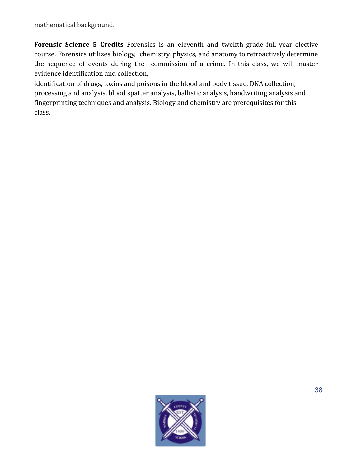mathematical background.

**Forensic Science 5 Credits** Forensics is an eleventh and twelfth grade full year elective course. Forensics utilizes biology, chemistry, physics, and anatomy to retroactively determine the sequence of events during the commission of a crime. In this class, we will master evidence identification and collection,

identification of drugs, toxins and poisons in the blood and body tissue, DNA collection, processing and analysis, blood spatter analysis, ballistic analysis, handwriting analysis and fingerprinting techniques and analysis. Biology and chemistry are prerequisites for this class.

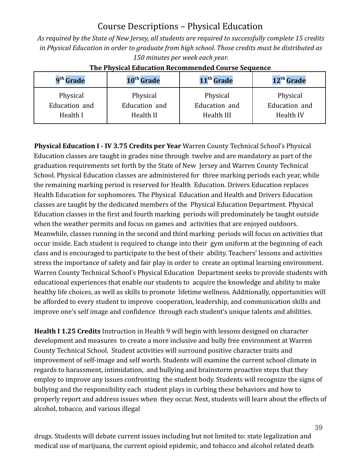## Course Descriptions – Physical Education

*As required by the State of New Jersey, all students are required to successfully complete 15 credits in Physical Education in order to graduate from high school. Those credits must be distributed as 150 minutes per week each year.*

| 9 <sup>th</sup> Grade | 10 <sup>th</sup> Grade | 11 <sup>th</sup> Grade | 12 <sup>th</sup> Grade |
|-----------------------|------------------------|------------------------|------------------------|
| Physical              | Physical               | Physical               | Physical               |
| Education and         | Education and          | Education and          | Education and          |
| Health I              | Health II              | Health III             | Health IV              |

#### **The Physical Education Recommended Course Sequence**

**Physical Education I - IV 3.75 Credits per Year** Warren County Technical School's Physical Education classes are taught in grades nine through twelve and are mandatory as part of the graduation requirements set forth by the State of New Jersey and Warren County Technical School. Physical Education classes are administered for three marking periods each year, while the remaining marking period is reserved for Health Education. Drivers Education replaces Health Education for sophomores. The Physical Education and Health and Drivers Education classes are taught by the dedicated members of the Physical Education Department. Physical Education classes in the first and fourth marking periods will predominately be taught outside when the weather permits and focus on games and activities that are enjoyed outdoors. Meanwhile, classes running in the second and third marking periods will focus on activities that occur inside. Each student is required to change into their gym uniform at the beginning of each class and is encouraged to participate to the best of their ability. Teachers' lessons and activities stress the importance of safety and fair play in order to create an optimal learning environment. Warren County Technical School's Physical Education Department seeks to provide students with educational experiences that enable our students to acquire the knowledge and ability to make healthy life choices, as well as skills to promote lifetime wellness. Additionally, opportunities will be afforded to every student to improve cooperation, leadership, and communication skills and improve one's self image and confidence through each student's unique talents and abilities.

**Health I 1.25 Credits** Instruction in Health 9 will begin with lessons designed on character development and measures to create a more inclusive and bully free environment at Warren County Technical School. Student activities will surround positive character traits and improvement of self-image and self worth. Students will examine the current school climate in regards to harassment, intimidation, and bullying and brainstorm proactive steps that they employ to improve any issues confronting the student body. Students will recognize the signs of bullying and the responsibility each student plays in curbing these behaviors and how to properly report and address issues when they occur. Next, students will learn about the effects of alcohol, tobacco, and various illegal

drugs. Students will debate current issues including but not limited to: state legalization and medical use of marijuana, the current opioid epidemic, and tobacco and alcohol related death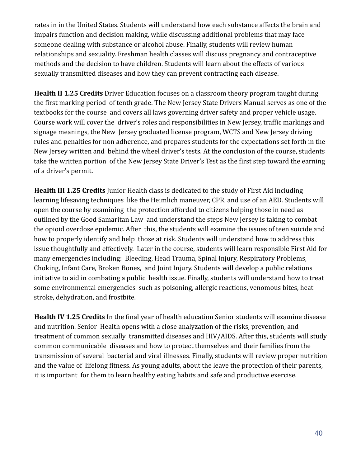rates in in the United States. Students will understand how each substance affects the brain and impairs function and decision making, while discussing additional problems that may face someone dealing with substance or alcohol abuse. Finally, students will review human relationships and sexuality. Freshman health classes will discuss pregnancy and contraceptive methods and the decision to have children. Students will learn about the effects of various sexually transmitted diseases and how they can prevent contracting each disease.

**Health II 1.25 Credits** Driver Education focuses on a classroom theory program taught during the first marking period of tenth grade. The New Jersey State Drivers Manual serves as one of the textbooks for the course and covers all laws governing driver safety and proper vehicle usage. Course work will cover the driver's roles and responsibilities in New Jersey, traffic markings and signage meanings, the New Jersey graduated license program, WCTS and New Jersey driving rules and penalties for non adherence, and prepares students for the expectations set forth in the New Jersey written and behind the wheel driver's tests. At the conclusion of the course, students take the written portion of the New Jersey State Driver's Test as the first step toward the earning of a driver's permit.

**Health III 1.25 Credits** Junior Health class is dedicated to the study of First Aid including learning lifesaving techniques like the Heimlich maneuver, CPR, and use of an AED. Students will open the course by examining the protection afforded to citizens helping those in need as outlined by the Good Samaritan Law and understand the steps New Jersey is taking to combat the opioid overdose epidemic. After this, the students will examine the issues of teen suicide and how to properly identify and help those at risk. Students will understand how to address this issue thoughtfully and effectively. Later in the course, students will learn responsible First Aid for many emergencies including: Bleeding, Head Trauma, Spinal Injury, Respiratory Problems, Choking, Infant Care, Broken Bones, and Joint Injury. Students will develop a public relations initiative to aid in combating a public health issue. Finally, students will understand how to treat some environmental emergencies such as poisoning, allergic reactions, venomous bites, heat stroke, dehydration, and frostbite.

**Health IV 1.25 Credits** In the final year of health education Senior students will examine disease and nutrition. Senior Health opens with a close analyzation of the risks, prevention, and treatment of common sexually transmitted diseases and HIV/AIDS. After this, students will study common communicable diseases and how to protect themselves and their families from the transmission of several bacterial and viral illnesses. Finally, students will review proper nutrition and the value of lifelong fitness. As young adults, about the leave the protection of their parents, it is important for them to learn healthy eating habits and safe and productive exercise.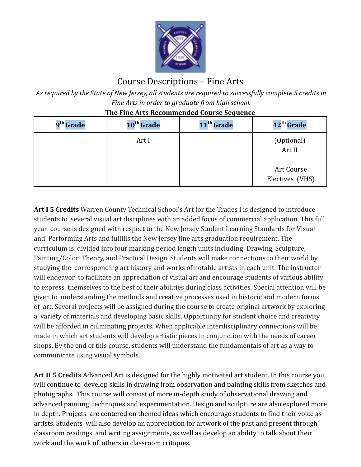

## Course Descriptions – Fine Arts

*As required by the State of New Jersey, all students are required to successfully complete 5 credits in Fine Arts in order to graduate from high school.*

| 9 <sup>th</sup> Grade | 10 <sup>th</sup> Grade | 11 <sup>th</sup> Grade | 12 <sup>th</sup> Grade        |
|-----------------------|------------------------|------------------------|-------------------------------|
|                       | Art I                  |                        | (Optional)<br>Art II          |
|                       |                        |                        | Art Course<br>Electives (VHS) |

**The Fine Arts Recommended Course Sequence**

**Art I 5 Credits** Warren County Technical School's Art for the Trades I is designed to introduce students to several visual art disciplines with an added focus of commercial application. This full year course is designed with respect to the New Jersey Student Learning Standards for Visual and Performing Arts and fulfills the New Jersey fine arts graduation requirement. The curriculum is divided into four marking period length units including: Drawing, Sculpture, Painting/Color Theory, and Practical Design. Students will make connections to their world by studying the corresponding art history and works of notable artists in each unit. The instructor will endeavor to facilitate an appreciation of visual art and encourage students of various ability to express themselves to the best of their abilities during class activities. Special attention will be given to understanding the methods and creative processes used in historic and modern forms of art. Several projects will be assigned during the course to create original artwork by exploring a variety of materials and developing basic skills. Opportunity for student choice and creativity will be afforded in culminating projects. When applicable interdisciplinary connections will be made in which art students will develop artistic pieces in conjunction with the needs of career shops. By the end of this course, students will understand the fundamentals of art as a way to communicate using visual symbols.

**Art II 5 Credits** Advanced Art is designed for the highly motivated art student. In this course you will continue to develop skills in drawing from observation and painting skills from sketches and photographs. This course will consist of more in-depth study of observational drawing and advanced painting techniques and experimentation. Design and sculpture are also explored more in depth. Projects are centered on themed ideas which encourage students to find their voice as artists. Students will also develop an appreciation for artwork of the past and present through classroom readings and writing assignments, as well as develop an ability to talk about their work and the work of others in classroom critiques.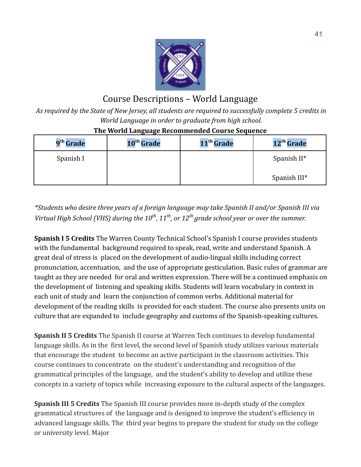

## Course Descriptions – World Language

*As required by the State of New Jersey, all students are required to successfully complete 5 credits in World Language in order to graduate from high school.*

| 9 <sup>th</sup> Grade | 10 <sup>th</sup> Grade | 11 <sup>th</sup> Grade | 12 <sup>th</sup> Grade |
|-----------------------|------------------------|------------------------|------------------------|
| Spanish I             |                        |                        | Spanish $II^*$         |
|                       |                        |                        | Spanish III*           |

#### **The World Language Recommended Course Sequence**

*\*Students who desire three years of a foreign language may take Spanish II and/or Spanish III via Virtual High School (VHS) during the 10th , 11th , or 12th grade school year or over the summer.*

**Spanish I 5 Credits** The Warren County Technical School's Spanish I course provides students with the fundamental background required to speak, read, write and understand Spanish. A great deal of stress is placed on the development of audio-lingual skills including correct pronunciation, accentuation, and the use of appropriate gesticulation. Basic rules of grammar are taught as they are needed for oral and written expression. There will be a continued emphasis on the development of listening and speaking skills. Students will learn vocabulary in context in each unit of study and learn the conjunction of common verbs. Additional material for development of the reading skills is provided for each student. The course also presents units on culture that are expanded to include geography and customs of the Spanish-speaking cultures.

**Spanish II 5 Credits** The Spanish II course at Warren Tech continues to develop fundamental language skills. As in the first level, the second level of Spanish study utilizes various materials that encourage the student to become an active participant in the classroom activities. This course continues to concentrate on the student's understanding and recognition of the grammatical principles of the language, and the student's ability to develop and utilize these concepts in a variety of topics while increasing exposure to the cultural aspects of the languages.

**Spanish III 5 Credits** The Spanish III course provides more in-depth study of the complex grammatical structures of the language and is designed to improve the student's efficiency in advanced language skills. The third year begins to prepare the student for study on the college or university level. Major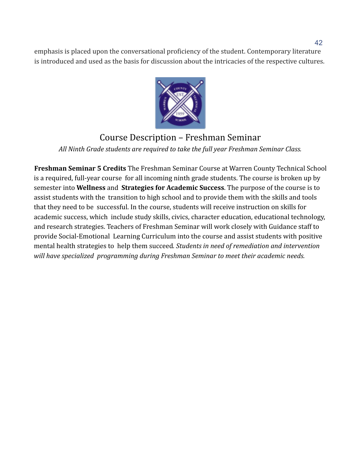emphasis is placed upon the conversational proficiency of the student. Contemporary literature is introduced and used as the basis for discussion about the intricacies of the respective cultures.



## Course Description – Freshman Seminar *All Ninth Grade students are required to take the full year Freshman Seminar Class.*

**Freshman Seminar 5 Credits** The Freshman Seminar Course at Warren County Technical School is a required, full-year course for all incoming ninth grade students. The course is broken up by semester into **Wellness** and **Strategies for Academic Success**. The purpose of the course is to assist students with the transition to high school and to provide them with the skills and tools that they need to be successful. In the course, students will receive instruction on skills for academic success, which include study skills, civics, character education, educational technology, and research strategies. Teachers of Freshman Seminar will work closely with Guidance staff to provide Social-Emotional Learning Curriculum into the course and assist students with positive mental health strategies to help them succeed*. Students in need of remediation and intervention will have specialized programming during Freshman Seminar to meet their academic needs.*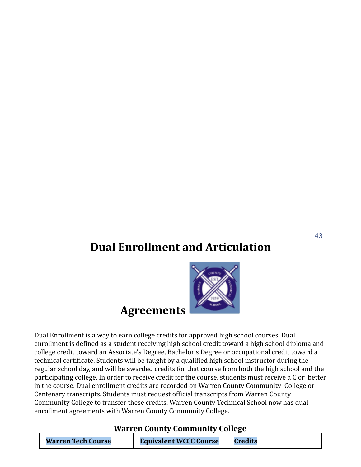## **Dual Enrollment and Articulation**



Dual Enrollment is a way to earn college credits for approved high school courses. Dual enrollment is defined as a student receiving high school credit toward a high school diploma and college credit toward an Associate's Degree, Bachelor's Degree or occupational credit toward a technical certificate. Students will be taught by a qualified high school instructor during the regular school day, and will be awarded credits for that course from both the high school and the participating college. In order to receive credit for the course, students must receive a C or better in the course. Dual enrollment credits are recorded on Warren County Community College or Centenary transcripts. Students must request official transcripts from Warren County Community College to transfer these credits. Warren County Technical School now has dual enrollment agreements with Warren County Community College.

**Agreements**

#### **Warren County Community College**

| <b>Warren Tech Course</b> | <b>Equivalent WCCC Course</b> | <b>Credits</b> |
|---------------------------|-------------------------------|----------------|
|---------------------------|-------------------------------|----------------|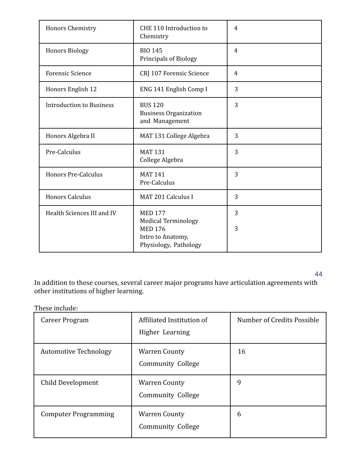| Honors Chemistry                | CHE 110 Introduction to<br>Chemistry                                                                         | 4      |
|---------------------------------|--------------------------------------------------------------------------------------------------------------|--------|
| <b>Honors Biology</b>           | <b>BIO 145</b><br><b>Principals of Biology</b>                                                               | 4      |
| <b>Forensic Science</b>         | CRJ 107 Forensic Science                                                                                     | 4      |
| Honors English 12               | ENG 141 English Comp I                                                                                       | 3      |
| <b>Introduction to Business</b> | <b>BUS 120</b><br><b>Business Organization</b><br>and Management                                             | 3      |
| Honors Algebra II               | MAT 131 College Algebra                                                                                      | 3      |
| Pre-Calculus                    | <b>MAT 131</b><br>College Algebra                                                                            | 3      |
| <b>Honors Pre-Calculus</b>      | <b>MAT 141</b><br>Pre-Calculus                                                                               | 3      |
| <b>Honors Calculus</b>          | MAT 201 Calculus I                                                                                           | 3      |
| Health Sciences III and IV      | <b>MED 177</b><br><b>Medical Terminology</b><br><b>MED 176</b><br>Intro to Anatomy,<br>Physiology, Pathology | 3<br>3 |

44

In addition to these courses, several career major programs have articulation agreements with other institutions of higher learning.

These include:

| Career Program               | Affiliated Institution of<br>Higher Learning     | Number of Credits Possible |
|------------------------------|--------------------------------------------------|----------------------------|
| <b>Automotive Technology</b> | <b>Warren County</b><br><b>Community College</b> | 16                         |
| Child Development            | <b>Warren County</b><br>Community College        | 9                          |
| <b>Computer Programming</b>  | <b>Warren County</b><br>Community College        | 6                          |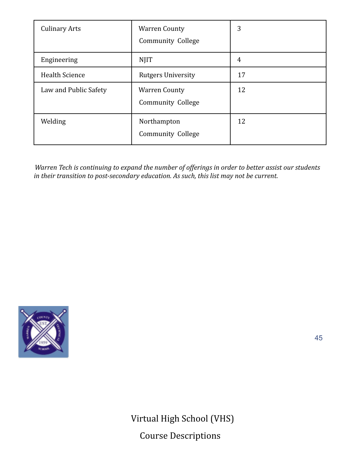| <b>Culinary Arts</b>  | <b>Warren County</b><br><b>Community College</b> | 3              |
|-----------------------|--------------------------------------------------|----------------|
| Engineering           | <b>NJIT</b>                                      | $\overline{4}$ |
| <b>Health Science</b> | <b>Rutgers University</b>                        | 17             |
| Law and Public Safety | <b>Warren County</b><br><b>Community College</b> | 12             |
| Welding               | Northampton<br><b>Community College</b>          | 12             |

*Warren Tech is continuing to expand the number of offerings in order to better assist our students in their transition to post-secondary education. As such, this list may not be current.*



45

Virtual High School (VHS) Course Descriptions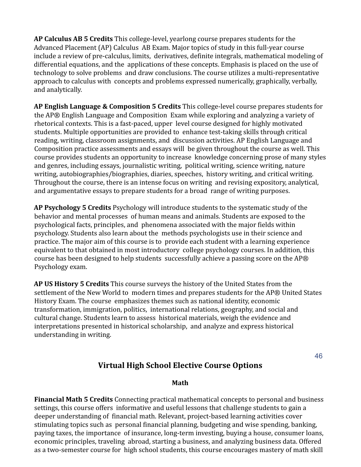**AP Calculus AB 5 Credits** This college-level, yearlong course prepares students for the Advanced Placement (AP) Calculus AB Exam. Major topics of study in this full-year course include a review of pre-calculus, limits, derivatives, definite integrals, mathematical modeling of differential equations, and the applications of these concepts. Emphasis is placed on the use of technology to solve problems and draw conclusions. The course utilizes a multi-representative approach to calculus with concepts and problems expressed numerically, graphically, verbally, and analytically.

**AP English Language & Composition 5 Credits** This college-level course prepares students for the AP® English Language and Composition Exam while exploring and analyzing a variety of rhetorical contexts. This is a fast-paced, upper level course designed for highly motivated students. Multiple opportunities are provided to enhance test-taking skills through critical reading, writing, classroom assignments, and discussion activities. AP English Language and Composition practice assessments and essays will be given throughout the course as well. This course provides students an opportunity to increase knowledge concerning prose of many styles and genres, including essays, journalistic writing, political writing, science writing, nature writing, autobiographies/biographies, diaries, speeches, history writing, and critical writing. Throughout the course, there is an intense focus on writing and revising expository, analytical, and argumentative essays to prepare students for a broad range of writing purposes.

**AP Psychology 5 Credits** Psychology will introduce students to the systematic study of the behavior and mental processes of human means and animals. Students are exposed to the psychological facts, principles, and phenomena associated with the major fields within psychology. Students also learn about the methods psychologists use in their science and practice. The major aim of this course is to provide each student with a learning experience equivalent to that obtained in most introductory college psychology courses. In addition, this course has been designed to help students successfully achieve a passing score on the AP® Psychology exam.

**AP US History 5 Credits** This course surveys the history of the United States from the settlement of the New World to modern times and prepares students for the AP® United States History Exam. The course emphasizes themes such as national identity, economic transformation, immigration, politics, international relations, geography, and social and cultural change. Students learn to assess historical materials, weigh the evidence and interpretations presented in historical scholarship, and analyze and express historical understanding in writing.

#### **Virtual High School Elective Course Options**

46

#### **Math**

**Financial Math 5 Credits** Connecting practical mathematical concepts to personal and business settings, this course offers informative and useful lessons that challenge students to gain a deeper understanding of financial math. Relevant, project-based learning activities cover stimulating topics such as personal financial planning, budgeting and wise spending, banking, paying taxes, the importance of insurance, long-term investing, buying a house, consumer loans, economic principles, traveling abroad, starting a business, and analyzing business data. Offered as a two-semester course for high school students, this course encourages mastery of math skill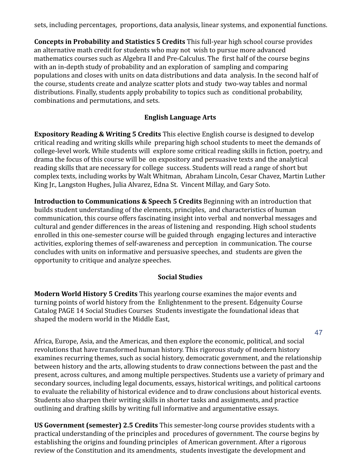sets, including percentages, proportions, data analysis, linear systems, and exponential functions.

**Concepts in Probability and Statistics 5 Credits** This full-year high school course provides an alternative math credit for students who may not wish to pursue more advanced mathematics courses such as Algebra II and Pre-Calculus. The first half of the course begins with an in-depth study of probability and an exploration of sampling and comparing populations and closes with units on data distributions and data analysis. In the second half of the course, students create and analyze scatter plots and study two-way tables and normal distributions. Finally, students apply probability to topics such as conditional probability, combinations and permutations, and sets.

#### **English Language Arts**

**Expository Reading & Writing 5 Credits** This elective English course is designed to develop critical reading and writing skills while preparing high school students to meet the demands of college-level work. While students will explore some critical reading skills in fiction, poetry, and drama the focus of this course will be on expository and persuasive texts and the analytical reading skills that are necessary for college success. Students will read a range of short but complex texts, including works by Walt Whitman, Abraham Lincoln, Cesar Chavez, Martin Luther King Jr., Langston Hughes, Julia Alvarez, Edna St. Vincent Millay, and Gary Soto.

**Introduction to Communications & Speech 5 Credits** Beginning with an introduction that builds student understanding of the elements, principles, and characteristics of human communication, this course offers fascinating insight into verbal and nonverbal messages and cultural and gender differences in the areas of listening and responding. High school students enrolled in this one-semester course will be guided through engaging lectures and interactive activities, exploring themes of self-awareness and perception in communication. The course concludes with units on informative and persuasive speeches, and students are given the opportunity to critique and analyze speeches.

#### **Social Studies**

**Modern World History 5 Credits** This yearlong course examines the major events and turning points of world history from the Enlightenment to the present. Edgenuity Course Catalog PAGE 14 Social Studies Courses Students investigate the foundational ideas that shaped the modern world in the Middle East,

47

Africa, Europe, Asia, and the Americas, and then explore the economic, political, and social revolutions that have transformed human history. This rigorous study of modern history examines recurring themes, such as social history, democratic government, and the relationship between history and the arts, allowing students to draw connections between the past and the present, across cultures, and among multiple perspectives. Students use a variety of primary and secondary sources, including legal documents, essays, historical writings, and political cartoons to evaluate the reliability of historical evidence and to draw conclusions about historical events. Students also sharpen their writing skills in shorter tasks and assignments, and practice outlining and drafting skills by writing full informative and argumentative essays.

**US Government (semester) 2.5 Credits** This semester-long course provides students with a practical understanding of the principles and procedures of government. The course begins by establishing the origins and founding principles of American government. After a rigorous review of the Constitution and its amendments, students investigate the development and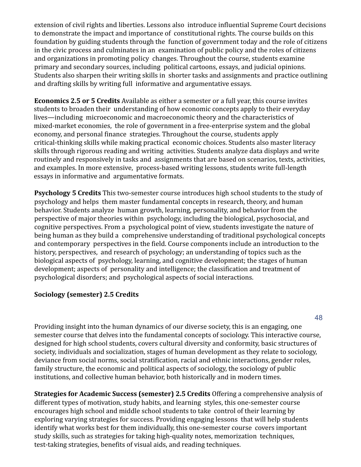extension of civil rights and liberties. Lessons also introduce influential Supreme Court decisions to demonstrate the impact and importance of constitutional rights. The course builds on this foundation by guiding students through the function of government today and the role of citizens in the civic process and culminates in an examination of public policy and the roles of citizens and organizations in promoting policy changes. Throughout the course, students examine primary and secondary sources, including political cartoons, essays, and judicial opinions. Students also sharpen their writing skills in shorter tasks and assignments and practice outlining and drafting skills by writing full informative and argumentative essays.

**Economics 2.5 or 5 Credits** Available as either a semester or a full year, this course invites students to broaden their understanding of how economic concepts apply to their everyday lives—including microeconomic and macroeconomic theory and the characteristics of mixed-market economies, the role of government in a free-enterprise system and the global economy, and personal finance strategies. Throughout the course, students apply critical-thinking skills while making practical economic choices. Students also master literacy skills through rigorous reading and writing activities. Students analyze data displays and write routinely and responsively in tasks and assignments that are based on scenarios, texts, activities, and examples. In more extensive, process-based writing lessons, students write full-length essays in informative and argumentative formats.

**Psychology 5 Credits** This two-semester course introduces high school students to the study of psychology and helps them master fundamental concepts in research, theory, and human behavior. Students analyze human growth, learning, personality, and behavior from the perspective of major theories within psychology, including the biological, psychosocial, and cognitive perspectives. From a psychological point of view, students investigate the nature of being human as they build a comprehensive understanding of traditional psychological concepts and contemporary perspectives in the field. Course components include an introduction to the history, perspectives, and research of psychology; an understanding of topics such as the biological aspects of psychology, learning, and cognitive development; the stages of human development; aspects of personality and intelligence; the classification and treatment of psychological disorders; and psychological aspects of social interactions.

#### **Sociology (semester) 2.5 Credits**

48

Providing insight into the human dynamics of our diverse society, this is an engaging, one semester course that delves into the fundamental concepts of sociology. This interactive course, designed for high school students, covers cultural diversity and conformity, basic structures of society, individuals and socialization, stages of human development as they relate to sociology, deviance from social norms, social stratification, racial and ethnic interactions, gender roles, family structure, the economic and political aspects of sociology, the sociology of public institutions, and collective human behavior, both historically and in modern times.

**Strategies for Academic Success (semester) 2.5 Credits** Offering a comprehensive analysis of different types of motivation, study habits, and learning styles, this one-semester course encourages high school and middle school students to take control of their learning by exploring varying strategies for success. Providing engaging lessons that will help students identify what works best for them individually, this one-semester course covers important study skills, such as strategies for taking high-quality notes, memorization techniques, test-taking strategies, benefits of visual aids, and reading techniques.